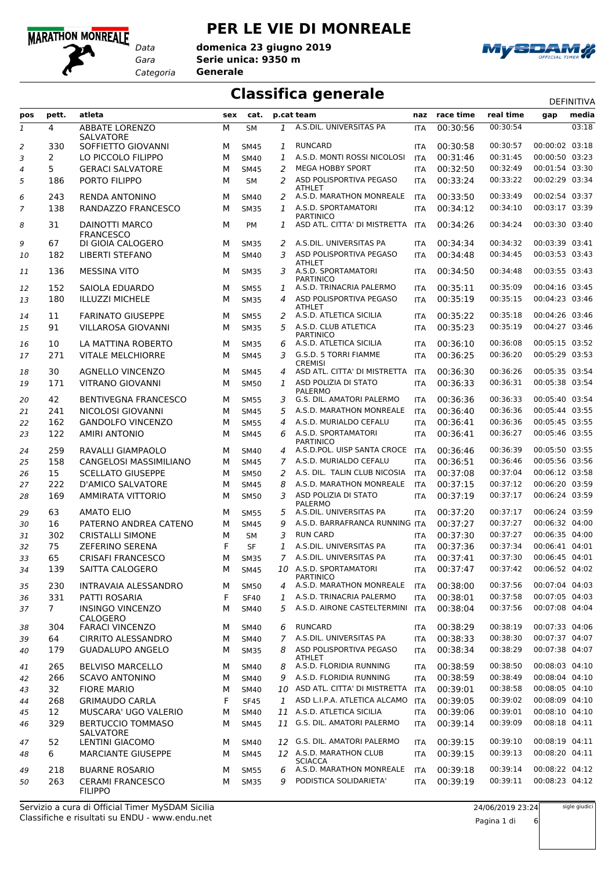### **MARATHON MONREALE**

*Data*

### **PER LE VIE DI MONREALE**

*Gara* **Serie unica: 9350 m** *Categoria* **Generale domenica 23 giugno 2019**



# **Classifica generale** DEFINITIVA

| pos          | pett.          | atleta                                    | sex | cat.        |                | p.cat team                                       | naz        | race time | real time | gap            | media |
|--------------|----------------|-------------------------------------------|-----|-------------|----------------|--------------------------------------------------|------------|-----------|-----------|----------------|-------|
| $\mathbf{1}$ | 4              | <b>ABBATE LORENZO</b>                     | М   | <b>SM</b>   | 1              | A.S.DIL. UNIVERSITAS PA                          | <b>ITA</b> | 00:30:56  | 00:30:54  |                | 03:18 |
| 2            | 330            | <b>SALVATORE</b><br>SOFFIETTO GIOVANNI    | м   | <b>SM45</b> | 1              | <b>RUNCARD</b>                                   | <b>ITA</b> | 00:30:58  | 00:30:57  | 00:00:02 03:18 |       |
| 3            | $\overline{2}$ | LO PICCOLO FILIPPO                        | M   | <b>SM40</b> | 1              | A.S.D. MONTI ROSSI NICOLOSI                      | <b>ITA</b> | 00:31:46  | 00:31:45  | 00:00:50 03:23 |       |
| 4            | 5              | <b>GERACI SALVATORE</b>                   | M   | <b>SM45</b> | 2              | <b>MEGA HOBBY SPORT</b>                          | <b>ITA</b> | 00:32:50  | 00:32:49  | 00:01:54 03:30 |       |
| 5            | 186            | PORTO FILIPPO                             | M   | SM          | 2              | ASD POLISPORTIVA PEGASO                          | <b>ITA</b> | 00:33:24  | 00:33:22  | 00:02:29 03:34 |       |
| 6            | 243            | <b>RENDA ANTONINO</b>                     | м   | <b>SM40</b> | 2              | ATHLET<br>A.S.D. MARATHON MONREALE               | ITA        | 00:33:50  | 00:33:49  | 00:02:54 03:37 |       |
| 7            | 138            | RANDAZZO FRANCESCO                        | М   | <b>SM35</b> | 1              | A.S.D. SPORTAMATORI                              | ITA        | 00:34:12  | 00:34:10  | 00:03:17 03:39 |       |
| 8            | 31             | DAINOTTI MARCO                            | м   | PM          | 1              | <b>PARTINICO</b><br>ASD ATL. CITTA' DI MISTRETTA | <b>ITA</b> | 00:34:26  | 00:34:24  | 00:03:30 03:40 |       |
| 9            | 67             | <b>FRANCESCO</b><br>DI GIOIA CALOGERO     | м   | <b>SM35</b> | 2              | A.S.DIL. UNIVERSITAS PA                          | <b>ITA</b> | 00:34:34  | 00:34:32  | 00:03:39 03:41 |       |
| 10           | 182            | <b>LIBERTI STEFANO</b>                    | м   | <b>SM40</b> | 3              | ASD POLISPORTIVA PEGASO<br>ATHLET                | <b>ITA</b> | 00:34:48  | 00:34:45  | 00:03:53 03:43 |       |
| 11           | 136            | <b>MESSINA VITO</b>                       | м   | <b>SM35</b> | 3              | A.S.D. SPORTAMATORI<br><b>PARTINICO</b>          | <b>ITA</b> | 00:34:50  | 00:34:48  | 00:03:55 03:43 |       |
| 12           | 152            | SAIOLA EDUARDO                            | м   | <b>SM55</b> | 1              | A.S.D. TRINACRIA PALERMO                         | <b>ITA</b> | 00:35:11  | 00:35:09  | 00:04:16 03:45 |       |
| 13           | 180            | <b>ILLUZZI MICHELE</b>                    | м   | <b>SM35</b> | 4              | ASD POLISPORTIVA PEGASO                          | <b>ITA</b> | 00:35:19  | 00:35:15  | 00:04:23 03:46 |       |
| 14           | 11             | <b>FARINATO GIUSEPPE</b>                  | м   | <b>SM55</b> | 2              | ATHLET<br>A.S.D. ATLETICA SICILIA                | <b>ITA</b> | 00:35:22  | 00:35:18  | 00:04:26 03:46 |       |
| 15           | 91             | <b>VILLAROSA GIOVANNI</b>                 | м   | <b>SM35</b> | 5              | A.S.D. CLUB ATLETICA                             | ITA        | 00:35:23  | 00:35:19  | 00:04:27 03:46 |       |
| 16           | 10             | LA MATTINA ROBERTO                        | м   | <b>SM35</b> | 6              | <b>PARTINICO</b><br>A.S.D. ATLETICA SICILIA      | <b>ITA</b> | 00:36:10  | 00:36:08  | 00:05:15 03:52 |       |
| 17           | 271            | <b>VITALE MELCHIORRE</b>                  | м   | <b>SM45</b> | 3              | G.S.D. 5 TORRI FIAMME                            | <b>ITA</b> | 00:36:25  | 00:36:20  | 00:05:29 03:53 |       |
| 18           | 30             | <b>AGNELLO VINCENZO</b>                   | м   | <b>SM45</b> | 4              | <b>CREMISI</b><br>ASD ATL. CITTA' DI MISTRETTA   | <b>ITA</b> | 00:36:30  | 00:36:26  | 00:05:35 03:54 |       |
| 19           | 171            | <b>VITRANO GIOVANNI</b>                   | м   | <b>SM50</b> | $\mathbf{1}$   | ASD POLIZIA DI STATO<br>PALERMO                  | <b>ITA</b> | 00:36:33  | 00:36:31  | 00:05:38 03:54 |       |
| 20           | 42             | <b>BENTIVEGNA FRANCESCO</b>               | м   | <b>SM55</b> | 3              | G.S. DIL. AMATORI PALERMO                        | <b>ITA</b> | 00:36:36  | 00:36:33  | 00:05:40 03:54 |       |
| 21           | 241            | NICOLOSI GIOVANNI                         | м   | <b>SM45</b> | 5              | A.S.D. MARATHON MONREALE                         | <b>ITA</b> | 00:36:40  | 00:36:36  | 00:05:44 03:55 |       |
| 22           | 162            | <b>GANDOLFO VINCENZO</b>                  | M   | <b>SM55</b> | 4              | A.S.D. MURIALDO CEFALU                           | <b>ITA</b> | 00:36:41  | 00:36:36  | 00:05:45 03:55 |       |
| 23           | 122            | <b>AMIRI ANTONIO</b>                      | м   | <b>SM45</b> | 6              | A.S.D. SPORTAMATORI<br><b>PARTINICO</b>          | <b>ITA</b> | 00:36:41  | 00:36:27  | 00:05:46 03:55 |       |
| 24           | 259            | RAVALLI GIAMPAOLO                         | м   | <b>SM40</b> | 4              | A.S.D.POL. UISP SANTA CROCE                      | <b>ITA</b> | 00:36:46  | 00:36:39  | 00:05:50 03:55 |       |
| 25           | 158            | CANGELOSI MASSIMILIANO                    | M   | <b>SM45</b> | $\overline{7}$ | A.S.D. MURIALDO CEFALU                           | <b>ITA</b> | 00:36:51  | 00:36:46  | 00:05:56 03:56 |       |
| 26           | 15             | <b>SCELLATO GIUSEPPE</b>                  | м   | <b>SM50</b> | 2              | A.S. DIL. TALIN CLUB NICOSIA                     | <b>ITA</b> | 00:37:08  | 00:37:04  | 00:06:12 03:58 |       |
| 27           | 222            | <b>D'AMICO SALVATORE</b>                  | м   | <b>SM45</b> | 8              | A.S.D. MARATHON MONREALE                         | <b>ITA</b> | 00:37:15  | 00:37:12  | 00:06:20 03:59 |       |
| 28           | 169            | <b>AMMIRATA VITTORIO</b>                  | м   | <b>SM50</b> | 3              | ASD POLIZIA DI STATO<br><b>PALERMO</b>           | <b>ITA</b> | 00:37:19  | 00:37:17  | 00:06:24 03:59 |       |
| 29           | 63             | <b>AMATO ELIO</b>                         | м   | <b>SM55</b> | 5              | A.S.DIL. UNIVERSITAS PA                          | <b>ITA</b> | 00:37:20  | 00:37:17  | 00:06:24 03:59 |       |
| 30           | 16             | PATERNO ANDREA CATENO                     | м   | <b>SM45</b> | 9              | A.S.D. BARRAFRANCA RUNNING ITA                   |            | 00:37:27  | 00:37:27  | 00:06:32 04:00 |       |
| 31           | 302            | <b>CRISTALLI SIMONE</b>                   | м   | SΜ          | 3              | <b>RUN CARD</b>                                  | <b>ITA</b> | 00:37:30  | 00:37:27  | 00:06:35 04:00 |       |
| 32           | 75             | <b>ZEFERINO SERENA</b>                    | F   | <b>SF</b>   | 1              | A.S.DIL. UNIVERSITAS PA                          | <b>ITA</b> | 00:37:36  | 00:37:34  | 00:06:41 04:01 |       |
| 33           | 65             | <b>CRISAFI FRANCESCO</b>                  | м   | <b>SM35</b> | $7^{\circ}$    | A.S.DIL. UNIVERSITAS PA                          | <b>ITA</b> | 00:37:41  | 00:37:30  | 00:06:45 04:01 |       |
| 34           | 139            | SAITTA CALOGERO                           | M   | <b>SM45</b> |                | 10 A.S.D. SPORTAMATORI<br><b>PARTINICO</b>       | <b>ITA</b> | 00:37:47  | 00:37:42  | 00:06:52 04:02 |       |
| 35           | 230            | <b>INTRAVAIA ALESSANDRO</b>               | м   | <b>SM50</b> | 4              | A.S.D. MARATHON MONREALE                         | <b>ITA</b> | 00:38:00  | 00:37:56  | 00:07:04 04:03 |       |
| 36           | 331            | PATTI ROSARIA                             | F   | <b>SF40</b> | 1              | A.S.D. TRINACRIA PALERMO                         | ITA        | 00:38:01  | 00:37:58  | 00:07:05 04:03 |       |
| 37           | $7^{\circ}$    | <b>INSINGO VINCENZO</b><br>CALOGERO       | м   | SM40        | 5              | A.S.D. AIRONE CASTELTERMINI                      | <b>ITA</b> | 00:38:04  | 00:37:56  | 00:07:08 04:04 |       |
| 38           | 304            | <b>FARACI VINCENZO</b>                    | м   | SM40        | 6              | <b>RUNCARD</b>                                   | <b>ITA</b> | 00:38:29  | 00:38:19  | 00:07:33 04:06 |       |
| 39           | 64             | <b>CIRRITO ALESSANDRO</b>                 | м   | SM40        | $\overline{7}$ | A.S.DIL. UNIVERSITAS PA                          | <b>ITA</b> | 00:38:33  | 00:38:30  | 00:07:37 04:07 |       |
| 40           | 179            | <b>GUADALUPO ANGELO</b>                   | м   | <b>SM35</b> | 8              | ASD POLISPORTIVA PEGASO<br>ATHLET                | <b>ITA</b> | 00:38:34  | 00:38:29  | 00:07:38 04:07 |       |
| 41           | 265            | <b>BELVISO MARCELLO</b>                   | м   | <b>SM40</b> | 8              | A.S.D. FLORIDIA RUNNING                          | ITA        | 00:38:59  | 00:38:50  | 00:08:03 04:10 |       |
| 42           | 266            | <b>SCAVO ANTONINO</b>                     | м   | SM40        | 9              | A.S.D. FLORIDIA RUNNING                          | ITA        | 00:38:59  | 00:38:49  | 00:08:04 04:10 |       |
| 43           | 32             | <b>FIORE MARIO</b>                        | м   | SM40        |                | 10 ASD ATL. CITTA' DI MISTRETTA                  | <b>ITA</b> | 00:39:01  | 00:38:58  | 00:08:05 04:10 |       |
| 44           | 268            | <b>GRIMAUDO CARLA</b>                     | F   | <b>SF45</b> | 1              | ASD L.I.P.A. ATLETICA ALCAMO                     | <b>ITA</b> | 00:39:05  | 00:39:02  | 00:08:09 04:10 |       |
| 45           | 12             | MUSCARA' UGO VALERIO                      | м   | <b>SM40</b> |                | 11 A.S.D. ATLETICA SICILIA                       | <b>ITA</b> | 00:39:06  | 00:39:01  | 00:08:10 04:10 |       |
| 46           | 329            | <b>BERTUCCIO TOMMASO</b>                  | м   | <b>SM45</b> |                | 11 G.S. DIL. AMATORI PALERMO                     | <b>ITA</b> | 00:39:14  | 00:39:09  | 00:08:18 04:11 |       |
| 47           | 52             | SALVATORE<br>LENTINI GIACOMO              | м   | <b>SM40</b> | 12             | G.S. DIL. AMATORI PALERMO                        | <b>ITA</b> | 00:39:15  | 00:39:10  | 00:08:19 04:11 |       |
| 48           | 6              | <b>MARCIANTE GIUSEPPE</b>                 | м   | <b>SM45</b> |                | 12 A.S.D. MARATHON CLUB<br><b>SCIACCA</b>        | ITA        | 00:39:15  | 00:39:13  | 00:08:20 04:11 |       |
| 49           | 218            | <b>BUARNE ROSARIO</b>                     | м   | <b>SM55</b> | 6              | A.S.D. MARATHON MONREALE                         | <b>ITA</b> | 00:39:18  | 00:39:14  | 00:08:22 04:12 |       |
| 50           | 263            | <b>CERAMI FRANCESCO</b><br><b>FILIPPO</b> | м   | <b>SM35</b> | 9              | PODISTICA SOLIDARIETA'                           | <b>ITA</b> | 00:39:19  | 00:39:11  | 00:08:23 04:12 |       |

Classifiche e risultati su ENDU - www.endu.net Servizio a cura di Official Timer MySDAM Sicilia sigle giudici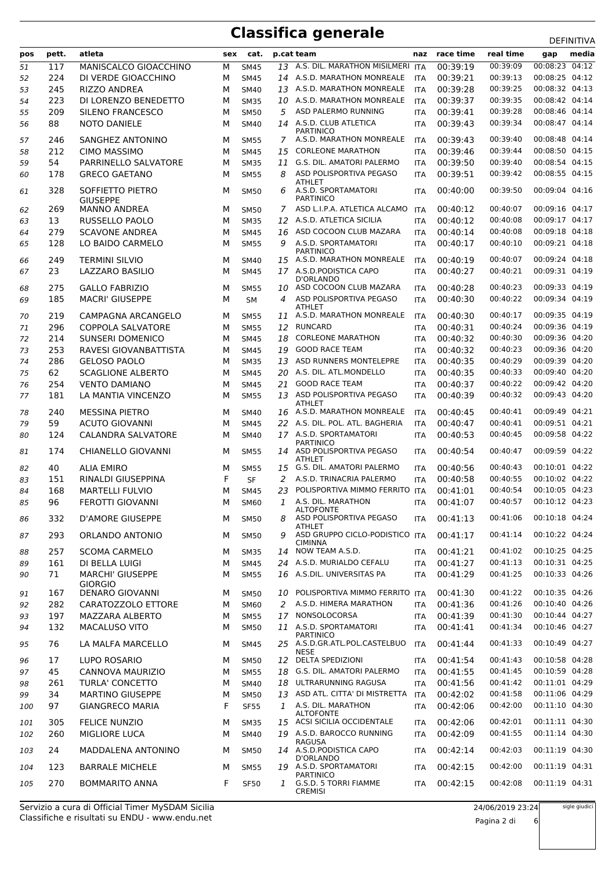|     | pett. | atleta                                    | sex | cat.        |    | p.cat team                                                         | naz        | race time | real time            | ᅛᄂᆝᄞᅁᄓᅜ               | media |
|-----|-------|-------------------------------------------|-----|-------------|----|--------------------------------------------------------------------|------------|-----------|----------------------|-----------------------|-------|
| pos |       |                                           |     |             |    |                                                                    |            |           | 00:39:09             | gap<br>00:08:23 04:12 |       |
| 51  | 117   | MANISCALCO GIOACCHINO                     | M   | <b>SM45</b> |    | 13 A.S. DIL. MARATHON MISILMERI ITA<br>14 A.S.D. MARATHON MONREALE |            | 00:39:19  |                      | 00:08:25 04:12        |       |
| 52  | 224   | DI VERDE GIOACCHINO                       | М   | <b>SM45</b> |    | A.S.D. MARATHON MONREALE                                           | <b>ITA</b> | 00:39:21  | 00:39:13<br>00:39:25 | 00:08:32 04:13        |       |
| 53  | 245   | RIZZO ANDREA                              | М   | <b>SM40</b> | 13 | 10 A.S.D. MARATHON MONREALE                                        | <b>ITA</b> | 00:39:28  | 00:39:35             | 00:08:42 04:14        |       |
| 54  | 223   | DI LORENZO BENEDETTO                      | м   | <b>SM35</b> |    | ASD PALERMO RUNNING                                                | <b>ITA</b> | 00:39:37  | 00:39:28             | 00:08:46 04:14        |       |
| 55  | 209   | SILENO FRANCESCO                          | м   | <b>SM50</b> | 5  |                                                                    | <b>ITA</b> | 00:39:41  | 00:39:34             | 00:08:47 04:14        |       |
| 56  | 88    | <b>NOTO DANIELE</b>                       | м   | <b>SM40</b> |    | 14 A.S.D. CLUB ATLETICA<br><b>PARTINICO</b>                        | <b>ITA</b> | 00:39:43  |                      |                       |       |
| 57  | 246   | SANGHEZ ANTONINO                          | М   | <b>SM55</b> | 7  | A.S.D. MARATHON MONREALE                                           | <b>ITA</b> | 00:39:43  | 00:39:40             | 00:08:48 04:14        |       |
| 58  | 212   | <b>CIMO MASSIMO</b>                       | М   | <b>SM45</b> | 15 | <b>CORLEONE MARATHON</b>                                           | ITA        | 00:39:46  | 00:39:44             | 00:08:50 04:15        |       |
| 59  | 54    | PARRINELLO SALVATORE                      | M   | <b>SM35</b> | 11 | G.S. DIL. AMATORI PALERMO                                          | <b>ITA</b> | 00:39:50  | 00:39:40             | 00:08:54 04:15        |       |
| 60  | 178   | <b>GRECO GAETANO</b>                      | М   | <b>SM55</b> | 8  | ASD POLISPORTIVA PEGASO                                            | <b>ITA</b> | 00:39:51  | 00:39:42             | 00:08:55 04:15        |       |
|     |       |                                           |     |             |    | <b>ATHLET</b><br>A.S.D. SPORTAMATORI                               |            |           |                      | 00:09:04 04:16        |       |
| 61  | 328   | SOFFIETTO PIETRO<br><b>GIUSEPPE</b>       | M   | <b>SM50</b> | 6  | <b>PARTINICO</b>                                                   | <b>ITA</b> | 00:40:00  | 00:39:50             |                       |       |
| 62  | 269   | <b>MANNO ANDREA</b>                       | M   | <b>SM50</b> | 7  | ASD L.I.P.A. ATLETICA ALCAMO                                       | <b>ITA</b> | 00:40:12  | 00:40:07             | 00:09:16 04:17        |       |
| 63  | 13    | <b>RUSSELLO PAOLO</b>                     | M   | <b>SM35</b> | 12 | A.S.D. ATLETICA SICILIA                                            | <b>ITA</b> | 00:40:12  | 00:40:08             | 00:09:17 04:17        |       |
| 64  | 279   | <b>SCAVONE ANDREA</b>                     | M   | <b>SM45</b> | 16 | ASD COCOON CLUB MAZARA                                             | <b>ITA</b> | 00:40:14  | 00:40:08             | 00:09:18 04:18        |       |
| 65  | 128   | LO BAIDO CARMELO                          | М   | <b>SM55</b> | 9  | A.S.D. SPORTAMATORI                                                | <b>ITA</b> | 00:40:17  | 00:40:10             | 00:09:21 04:18        |       |
|     |       |                                           |     |             |    | <b>PARTINICO</b>                                                   |            |           |                      |                       |       |
| 66  | 249   | <b>TERMINI SILVIO</b>                     | M   | <b>SM40</b> | 15 | A.S.D. MARATHON MONREALE                                           | <b>ITA</b> | 00:40:19  | 00:40:07             | 00:09:24 04:18        |       |
| 67  | 23    | LAZZARO BASILIO                           | M   | <b>SM45</b> |    | 17 A.S.D. PODISTICA CAPO<br>D'ORLANDO                              | <b>ITA</b> | 00:40:27  | 00:40:21             | 00:09:31 04:19        |       |
| 68  | 275   | <b>GALLO FABRIZIO</b>                     | М   | <b>SM55</b> | 10 | ASD COCOON CLUB MAZARA                                             | ITA        | 00:40:28  | 00:40:23             | 00:09:33 04:19        |       |
| 69  | 185   | <b>MACRI' GIUSEPPE</b>                    | M   | <b>SM</b>   | 4  | ASD POLISPORTIVA PEGASO                                            | <b>ITA</b> | 00:40:30  | 00:40:22             | 00:09:34 04:19        |       |
|     |       |                                           |     |             |    | <b>ATHLET</b>                                                      |            |           |                      |                       |       |
| 70  | 219   | CAMPAGNA ARCANGELO                        | М   | <b>SM55</b> | 11 | A.S.D. MARATHON MONREALE                                           | <b>ITA</b> | 00:40:30  | 00:40:17             | 00:09:35 04:19        |       |
| 71  | 296   | <b>COPPOLA SALVATORE</b>                  | М   | <b>SM55</b> |    | 12 RUNCARD                                                         | <b>ITA</b> | 00:40:31  | 00:40:24             | 00:09:36 04:19        |       |
| 72  | 214   | SUNSERI DOMENICO                          | м   | <b>SM45</b> | 18 | <b>CORLEONE MARATHON</b>                                           | <b>ITA</b> | 00:40:32  | 00:40:30             | 00:09:36 04:20        |       |
| 73  | 253   | RAVESI GIOVANBATTISTA                     | М   | <b>SM45</b> | 19 | <b>GOOD RACE TEAM</b>                                              | <b>ITA</b> | 00:40:32  | 00:40:23             | 00:09:36 04:20        |       |
| 74  | 286   | <b>GELOSO PAOLO</b>                       | М   | <b>SM35</b> | 13 | ASD RUNNERS MONTELEPRE                                             | <b>ITA</b> | 00:40:35  | 00:40:29             | 00:09:39 04:20        |       |
| 75  | 62    | <b>SCAGLIONE ALBERTO</b>                  | М   | <b>SM45</b> | 20 | A.S. DIL. ATL.MONDELLO                                             | <b>ITA</b> | 00:40:35  | 00:40:33             | 00:09:40 04:20        |       |
| 76  | 254   | <b>VENTO DAMIANO</b>                      | M   | <b>SM45</b> | 21 | <b>GOOD RACE TEAM</b>                                              | <b>ITA</b> | 00:40:37  | 00:40:22             | 00:09:42 04:20        |       |
| 77  | 181   | LA MANTIA VINCENZO                        | M   | <b>SM55</b> |    | 13 ASD POLISPORTIVA PEGASO<br>ATHLET                               | <b>ITA</b> | 00:40:39  | 00:40:32             | 00:09:43 04:20        |       |
| 78  | 240   | <b>MESSINA PIETRO</b>                     | M   | <b>SM40</b> | 16 | A.S.D. MARATHON MONREALE                                           | <b>ITA</b> | 00:40:45  | 00:40:41             | 00:09:49 04:21        |       |
| 79  | 59    | ACUTO GIOVANNI                            | М   | <b>SM45</b> |    | 22 A.S. DIL. POL. ATL. BAGHERIA                                    | <b>ITA</b> | 00:40:47  | 00:40:41             | 00:09:51 04:21        |       |
| 80  | 124   | CALANDRA SALVATORE                        | М   | <b>SM40</b> |    | 17 A.S.D. SPORTAMATORI                                             | <b>ITA</b> | 00:40:53  | 00:40:45             | 00:09:58 04:22        |       |
|     |       |                                           |     |             |    | <b>PARTINICO</b>                                                   |            |           |                      |                       |       |
| 81  | 174   | <b>CHIANELLO GIOVANNI</b>                 | M   | <b>SM55</b> |    | 14 ASD POLISPORTIVA PEGASO<br><b>ATHLET</b>                        | <b>ITA</b> | 00:40:54  | 00:40:47             | 00:09:59 04:22        |       |
| 82  | 40    | ALIA EMIRO                                | М   | <b>SM55</b> | 15 | G.S. DIL. AMATORI PALERMO                                          | ITA        | 00:40:56  | 00:40:43             | 00:10:01 04:22        |       |
| 83  | 151   | RINALDI GIUSEPPINA                        | F   | <b>SF</b>   | 2  | A.S.D. TRINACRIA PALERMO                                           | <b>ITA</b> | 00:40:58  | 00:40:55             | 00:10:02 04:22        |       |
| 84  | 168   | <b>MARTELLI FULVIO</b>                    | м   | <b>SM45</b> | 23 | POLISPORTIVA MIMMO FERRITO ITA                                     |            | 00:41:01  | 00:40:54             | 00:10:05 04:23        |       |
| 85  | 96    | FEROTTI GIOVANNI                          | М   | <b>SM60</b> | 1  | A.S. DIL. MARATHON                                                 | <b>ITA</b> | 00:41:07  | 00:40:57             | 00:10:12 04:23        |       |
|     |       |                                           |     |             |    | <b>ALTOFONTE</b>                                                   |            |           |                      |                       |       |
| 86  | 332   | <b>D'AMORE GIUSEPPE</b>                   | м   | <b>SM50</b> | 8  | ASD POLISPORTIVA PEGASO<br><b>ATHLET</b>                           | <b>ITA</b> | 00:41:13  | 00:41:06             | 00:10:18 04:24        |       |
| 87  | 293   | ORLANDO ANTONIO                           | M   | <b>SM50</b> | 9  | ASD GRUPPO CICLO-PODISTICO ITA                                     |            | 00:41:17  | 00:41:14             | 00:10:22 04:24        |       |
|     |       |                                           |     |             |    | <b>CIMINNA</b>                                                     |            |           |                      |                       |       |
| 88  | 257   | <b>SCOMA CARMELO</b>                      | M   | <b>SM35</b> | 14 | NOW TEAM A.S.D.                                                    | <b>ITA</b> | 00:41:21  | 00:41:02             | 00:10:25 04:25        |       |
| 89  | 161   | DI BELLA LUIGI                            | M   | <b>SM45</b> |    | 24 A.S.D. MURIALDO CEFALU                                          | <b>ITA</b> | 00:41:27  | 00:41:13             | 00:10:31 04:25        |       |
| 90  | 71    | <b>MARCHI' GIUSEPPE</b><br><b>GIORGIO</b> | м   | <b>SM55</b> |    | 16 A.S.DIL. UNIVERSITAS PA                                         | <b>ITA</b> | 00:41:29  | 00:41:25             | 00:10:33 04:26        |       |
| 91  | 167   | <b>DENARO GIOVANNI</b>                    | м   | <b>SM50</b> | 10 | POLISPORTIVA MIMMO FERRITO ITA                                     |            | 00:41:30  | 00:41:22             | 00:10:35 04:26        |       |
| 92  | 282   | CARATOZZOLO ETTORE                        | М   | <b>SM60</b> | 2  | A.S.D. HIMERA MARATHON                                             | <b>ITA</b> | 00:41:36  | 00:41:26             | 00:10:40 04:26        |       |
| 93  | 197   | MAZZARA ALBERTO                           | M   | <b>SM55</b> | 17 | NONSOLOCORSA                                                       | <b>ITA</b> | 00:41:39  | 00:41:30             | 00:10:44 04:27        |       |
| 94  | 132   | <b>MACALUSO VITO</b>                      | М   | <b>SM50</b> |    | 11 A.S.D. SPORTAMATORI                                             | <b>ITA</b> | 00:41:41  | 00:41:34             | 00:10:46 04:27        |       |
|     |       |                                           |     |             |    | <b>PARTINICO</b>                                                   |            |           |                      |                       |       |
| 95  | 76    | LA MALFA MARCELLO                         | м   | <b>SM45</b> |    | 25 A.S.D.GR.ATL.POL.CASTELBUO                                      | <b>ITA</b> | 00:41:44  | 00:41:33             | 00:10:49 04:27        |       |
| 96  | 17    | LUPO ROSARIO                              | М   | <b>SM50</b> | 12 | <b>NESE</b><br>DELTA SPEDIZIONI                                    | <b>ITA</b> | 00:41:54  | 00:41:43             | 00:10:58 04:28        |       |
| 97  | 45    | CANNOVA MAURIZIO                          | M   | <b>SM55</b> | 18 | G.S. DIL. AMATORI PALERMO                                          | <b>ITA</b> | 00:41:55  | 00:41:45             | 00:10:59 04:28        |       |
| 98  | 261   | <b>TURLA' CONCETTO</b>                    | М   | <b>SM40</b> | 18 | ULTRARUNNING RAGUSA                                                | <b>ITA</b> | 00:41:56  | 00:41:42             | 00:11:01 04:29        |       |
| 99  | 34    | <b>MARTINO GIUSEPPE</b>                   | М   | <b>SM50</b> | 13 | ASD ATL. CITTA' DI MISTRETTA                                       | ITA        | 00:42:02  | 00:41:58             | 00:11:06 04:29        |       |
| 100 | 97    | <b>GIANGRECO MARIA</b>                    | F   | <b>SF55</b> |    | 1 A.S. DIL. MARATHON                                               | <b>ITA</b> | 00:42:06  | 00:42:00             | 00:11:10 04:30        |       |
|     |       |                                           |     |             |    | <b>ALTOFONTE</b>                                                   |            |           |                      |                       |       |
| 101 | 305   | <b>FELICE NUNZIO</b>                      | M   | <b>SM35</b> |    | 15 ACSI SICILIA OCCIDENTALE                                        | <b>ITA</b> | 00:42:06  | 00:42:01             | 00:11:11 04:30        |       |
| 102 | 260   | <b>MIGLIORE LUCA</b>                      | M   | <b>SM40</b> |    | 19 A.S.D. BAROCCO RUNNING                                          | <b>ITA</b> | 00:42:09  | 00:41:55             | 00:11:14 04:30        |       |
| 103 | 24    | MADDALENA ANTONINO                        | м   | <b>SM50</b> |    | <b>RAGUSA</b><br>14 A.S.D.PODISTICA CAPO                           | <b>ITA</b> | 00:42:14  | 00:42:03             | 00:11:19 04:30        |       |
|     |       |                                           |     |             |    | D'ORLANDO                                                          |            |           |                      |                       |       |
| 104 | 123   | <b>BARRALE MICHELE</b>                    | м   | <b>SM55</b> |    | 19 A.S.D. SPORTAMATORI<br><b>PARTINICO</b>                         | <b>ITA</b> | 00:42:15  | 00:42:00             | 00:11:19 04:31        |       |
| 105 | 270   | <b>BOMMARITO ANNA</b>                     | F   | <b>SF50</b> | 1  | G.S.D. 5 TORRI FIAMME                                              | <b>ITA</b> | 00:42:15  | 00:42:08             | 00:11:19 04:31        |       |
|     |       |                                           |     |             |    | <b>CREMISI</b>                                                     |            |           |                      |                       |       |

Classifiche e risultati su ENDU - www.endu.net Servizio a cura di Official Timer MySDAM Sicilia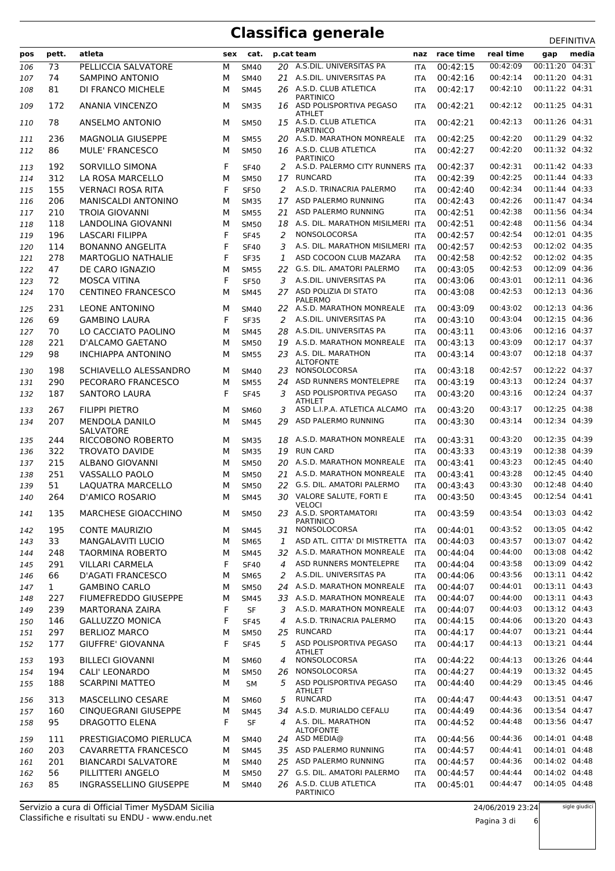| 00:11:20 04:31<br>00:42:09<br>20 A.S.DIL. UNIVERSITAS PA<br>00:42:15<br>73<br>PELLICCIA SALVATORE<br>М<br><b>SM40</b><br><b>ITA</b><br>106<br>00:11:20 04:31<br>74<br><b>SAMPINO ANTONIO</b><br>A.S.DIL. UNIVERSITAS PA<br>00:42:16<br>00:42:14<br>М<br><b>SM40</b><br>21<br>107<br><b>ITA</b><br>00:11:22 04:31<br>26 A.S.D. CLUB ATLETICA<br>00:42:17<br>00:42:10<br>81<br>DI FRANCO MICHELE<br>М<br>108<br><b>SM45</b><br><b>ITA</b><br><b>PARTINICO</b><br>00:11:25 04:31<br>172<br><b>ANANIA VINCENZO</b><br>ASD POLISPORTIVA PEGASO<br>00:42:21<br>00:42:12<br>109<br>M<br><b>SM35</b><br>16<br><b>ITA</b><br><b>ATHLET</b><br>15 A.S.D. CLUB ATLETICA<br>00:42:13<br>00:11:26 04:31<br>78<br>ANSELMO ANTONIO<br>00:42:21<br>110<br>M<br><b>SM50</b><br><b>ITA</b><br><b>PARTINICO</b><br>00:42:20<br>00:11:29 04:32<br>236<br>A.S.D. MARATHON MONREALE<br>00:42:25<br><b>MAGNOLIA GIUSEPPE</b><br>M<br><b>SM55</b><br>20<br><b>ITA</b><br>111<br>16 A.S.D. CLUB ATLETICA<br>00:42:20<br>00:11:32 04:32<br>86<br><b>MULE' FRANCESCO</b><br>00:42:27<br><b>SM50</b><br>112<br>M<br>ITA<br><b>PARTINICO</b><br>A.S.D. PALERMO CITY RUNNERS ITA<br>00:42:31<br>00:11:42 04:33<br>SORVILLO SIMONA<br>F<br>00:42:37<br>192<br><b>SF40</b><br>2<br>113<br><b>RUNCARD</b><br>00:42:25<br>00:11:44 04:33<br>312<br>LA ROSA MARCELLO<br>00:42:39<br>М<br>114<br><b>SM50</b><br>17<br><b>ITA</b><br>F<br><b>VERNACI ROSA RITA</b><br>A.S.D. TRINACRIA PALERMO<br>00:42:40<br>00:42:34<br>00:11:44 04:33<br>155<br><b>SF50</b><br>2<br>115<br><b>ITA</b><br>206<br>ASD PALERMO RUNNING<br>00:42:26<br>00:11:47 04:34<br>MANISCALDI ANTONINO<br>00:42:43<br>М<br>17<br>116<br><b>SM35</b><br><b>ITA</b><br>ASD PALERMO RUNNING<br>00:42:38<br>00:11:56 04:34<br>210<br><b>TROIA GIOVANNI</b><br>00:42:51<br>М<br><b>SM55</b><br>21<br>117<br><b>ITA</b><br>A.S. DIL. MARATHON MISILMERI ITA<br>00:42:51<br>00:42:48<br>00:11:56 04:34<br>118<br>LANDOLINA GIOVANNI<br>118<br>М<br><b>SM50</b><br>18<br>00:12:01 04:35<br>NONSOLOCORSA<br>00:42:54<br>196<br><b>LASCARI FILIPPA</b><br>F<br>2<br>00:42:57<br><b>SF45</b><br>119<br>ITA<br>F<br>00:12:02 04:35<br><b>BONANNO ANGELITA</b><br>A.S. DIL. MARATHON MISILMERI ITA<br>00:42:57<br>00:42:53<br>114<br>SF40<br>3<br>120<br>F<br>00:12:02 04:35<br>278<br><b>MARTOGLIO NATHALIE</b><br>ASD COCOON CLUB MAZARA<br>00:42:58<br>00:42:52<br>1<br>121<br><b>SF35</b><br><b>ITA</b><br>00:12:09 04:36<br>G.S. DIL. AMATORI PALERMO<br>00:42:53<br>47<br>DE CARO IGNAZIO<br>22<br>00:43:05<br>122<br>M<br><b>SM55</b><br>ITA<br>72<br>F<br>A.S.DIL. UNIVERSITAS PA<br>00:12:11 04:36<br><b>MOSCA VITINA</b><br>00:43:06<br>00:43:01<br><b>SF50</b><br>3<br>123<br><b>ITA</b><br>27 ASD POLIZIA DI STATO<br>00:12:13 04:36<br><b>CENTINEO FRANCESCO</b><br>00:43:08<br>00:42:53<br>170<br>M<br><b>SM45</b><br>124<br><b>ITA</b><br><b>PALERMO</b><br>00:12:13 04:36<br>231<br><b>LEONE ANTONINO</b><br>22 A.S.D. MARATHON MONREALE<br>00:43:09<br>00:43:02<br>125<br>М<br><b>SM40</b><br>ITA<br>69<br>F<br>A.S.DIL. UNIVERSITAS PA<br>00:43:10<br>00:43:04<br>00:12:15 04:36<br><b>GAMBINO LAURA</b><br>2<br>126<br><b>SF35</b><br><b>ITA</b><br>00:12:16 04:37<br>A.S.DIL. UNIVERSITAS PA<br>00:43:06<br>70<br>LO CACCIATO PAOLINO<br>00:43:11<br>М<br><b>SM45</b><br>28<br>127<br><b>ITA</b><br>00:12:17 04:37<br>221<br>D'ALCAMO GAETANO<br>A.S.D. MARATHON MONREALE<br>00:43:13<br>00:43:09<br>128<br>M<br><b>SM50</b><br>19<br><b>ITA</b><br>00:12:18 04:37<br>98<br><b>INCHIAPPA ANTONINO</b><br>23 A.S. DIL. MARATHON<br>00:43:14<br>00:43:07<br>129<br>M<br><b>SM55</b><br>ITA<br><b>ALTOFONTE</b><br>00:43:18<br>00:12:22 04:37<br>198<br>SCHIAVELLO ALESSANDRO<br>NONSOLOCORSA<br>00:42:57<br>130<br>M<br><b>SM40</b><br>23<br><b>ITA</b><br>00:12:24 04:37<br>PECORARO FRANCESCO<br>ASD RUNNERS MONTELEPRE<br>00:43:19<br>00:43:13<br>290<br>М<br>131<br><b>SM55</b><br>24<br><b>ITA</b><br>ASD POLISPORTIVA PEGASO<br>00:43:16<br>00:12:24 04:37<br>187<br>SANTORO LAURA<br>F<br>00:43:20<br><b>SF45</b><br>3<br>132<br>ITA<br>ATHLET<br><b>FILIPPI PIETRO</b><br>00:43:17<br>00:12:25 04:38<br>267<br>ASD L.I.P.A. ATLETICA ALCAMO<br>00:43:20<br>M<br>3<br>133<br><b>SM60</b><br><b>ITA</b><br>00:12:34 04:39<br>ASD PALERMO RUNNING<br>00:43:14<br>207<br>MENDOLA DANILO<br>00:43:30<br>M<br>29<br>134<br><b>SM45</b><br>ITA<br><b>SALVATORE</b><br>A.S.D. MARATHON MONREALE<br>00:43:20<br>00:12:35 04:39<br>00:43:31<br>244<br>RICCOBONO ROBERTO<br>18<br>135<br>м<br><b>SM35</b><br><b>ITA</b><br><b>RUN CARD</b><br>00:43:33<br>00:43:19<br>00:12:38 04:39<br>322<br><b>TROVATO DAVIDE</b><br>19<br>136<br>M<br><b>SM35</b><br>ITA<br>A.S.D. MARATHON MONREALE<br>00:43:23<br>00:12:45 04:40<br>215<br>00:43:41<br>ALBANO GIOVANNI<br><b>SM50</b><br>20<br>137<br>м<br><b>ITA</b><br>00:12:45 04:40<br>A.S.D. MARATHON MONREALE<br>00:43:28<br>251<br>VASSALLO PAOLO<br>00:43:41<br>M<br>21<br><b>SM50</b><br><b>ITA</b><br>138<br>00:12:48 04:40<br>51<br>LAQUATRA MARCELLO<br>G.S. DIL. AMATORI PALERMO<br>00:43:43<br>00:43:30<br><b>SM50</b><br>22<br>139<br>M<br>ITA<br>VALORE SALUTE, FORTI E<br>00:12:54 04:41<br>00:43:45<br>264<br><b>D'AMICO ROSARIO</b><br>00:43:50<br><b>SM45</b><br>30<br>140<br>М<br><b>ITA</b><br><b>VELOCI</b><br>MARCHESE GIOACCHINO<br>23 A.S.D. SPORTAMATORI<br>00:43:59<br>00:43:54<br>00:13:03 04:42<br>135<br><b>SM50</b><br>141<br>м<br><b>ITA</b><br><b>PARTINICO</b><br>NONSOLOCORSA<br>00:43:52<br>00:13:05 04:42<br>195<br>00:44:01<br><b>CONTE MAURIZIO</b><br>142<br>м<br><b>SM45</b><br>31<br>ITA<br>00:13:07 04:42<br>33<br><b>MANGALAVITI LUCIO</b><br>ASD ATL. CITTA' DI MISTRETTA ITA<br>00:44:03<br>00:43:57<br>М<br>1<br>143<br><b>SM65</b><br>32 A.S.D. MARATHON MONREALE<br>00:44:00<br>00:13:08 04:42<br><b>TAORMINA ROBERTO</b><br>00:44:04<br>248<br><b>SM45</b><br><b>ITA</b><br>144<br>М<br>ASD RUNNERS MONTELEPRE<br>00:43:58<br>00:13:09 04:42<br>F<br>00:44:04<br>291<br><b>VILLARI CARMELA</b><br><b>SF40</b><br>$\overline{4}$<br>145<br>ITA<br>00:13:11 04:42<br>A.S.DIL. UNIVERSITAS PA<br>00:43:56<br>66<br><b>D'AGATI FRANCESCO</b><br>00:44:06<br>146<br>М<br><b>SM65</b><br>2<br>ITA<br>24 A.S.D. MARATHON MONREALE<br>00:44:01<br>00:13:11 04:43<br>$\mathbf{1}$<br><b>GAMBINO CARLO</b><br><b>SM50</b><br>00:44:07<br>147<br>М<br>ITA<br>00:13:11 04:43<br>33 A.S.D. MARATHON MONREALE<br>00:44:00<br>227<br>FIUMEFREDDO GIUSEPPE<br>М<br>00:44:07<br>148<br><b>SM45</b><br><b>ITA</b><br>00:13:12 04:43<br>F<br>3 A.S.D. MARATHON MONREALE<br>239<br>MARTORANA ZAIRA<br>SF<br>00:44:07<br>00:44:03<br>149<br>ITA<br>A.S.D. TRINACRIA PALERMO<br>00:13:20 04:43<br>F<br>00:44:06<br>146<br><b>GALLUZZO MONICA</b><br><b>SF45</b><br>4<br>00:44:15<br>150<br>ITA<br><b>RUNCARD</b><br>00:44:07<br>00:13:21 04:44<br>00:44:17<br>297<br><b>BERLIOZ MARCO</b><br>М<br>25<br><b>SM50</b><br>151<br><b>ITA</b><br>ASD POLISPORTIVA PEGASO<br>00:13:21 04:44<br>F<br>00:44:13<br>177<br>GIUFFRE' GIOVANNA<br><b>SF45</b><br>5<br>00:44:17<br>152<br>ITA<br><b>ATHLET</b><br>00:13:26 04:44<br>193<br><b>BILLECI GIOVANNI</b><br>NONSOLOCORSA<br>00:44:22<br>00:44:13<br>153<br>4<br>М<br>SM60<br>ITA<br>NONSOLOCORSA<br>00:13:32 04:45<br>194<br>CALI' LEONARDO<br>26<br>00:44:27<br>00:44:19<br>М<br><b>SM50</b><br>154<br>ITA<br>ASD POLISPORTIVA PEGASO<br>00:13:45 04:46<br>00:44:29<br>188<br><b>SCARPINI MATTEO</b><br><b>SM</b><br>5<br>00:44:40<br>155<br>М<br><b>ITA</b><br>ATHLET<br><b>RUNCARD</b><br>00:13:51 04:47<br>313<br><b>MASCELLINO CESARE</b><br>5<br>00:44:47<br>00:44:43<br>М<br>156<br><b>SM60</b><br>ITA<br>A.S.D. MURIALDO CEFALU<br>00:13:54 04:47<br>160<br><b>CINQUEGRANI GIUSEPPE</b><br>00:44:49<br>00:44:36<br>М<br>34<br>157<br><b>SM45</b><br>ITA<br>DRAGOTTO ELENA<br>F<br>4 A.S. DIL. MARATHON<br>00:44:48<br>00:13:56 04:47<br>95<br>SF<br>00:44:52<br>158<br>ITA<br><b>ALTOFONTE</b><br>00:14:01 04:48<br>ASD MEDIA@<br>00:44:36<br>111<br>PRESTIGIACOMO PIERLUCA<br>00:44:56<br>159<br>24<br>м<br><b>SM40</b><br><b>ITA</b><br>00:14:01 04:48<br>203<br>35 ASD PALERMO RUNNING<br>00:44:57<br>00:44:41<br>CAVARRETTA FRANCESCO<br>М<br><b>SM45</b><br>160<br><b>ITA</b><br>00:14:02 04:48<br>25 ASD PALERMO RUNNING<br>00:44:36<br>201<br><b>BIANCARDI SALVATORE</b><br>00:44:57<br>М<br><b>SM40</b><br>161<br>ITA | pos | pett. | atleta | sex | cat. | p.cat team | naz | race time | real time | gap | media |
|-----------------------------------------------------------------------------------------------------------------------------------------------------------------------------------------------------------------------------------------------------------------------------------------------------------------------------------------------------------------------------------------------------------------------------------------------------------------------------------------------------------------------------------------------------------------------------------------------------------------------------------------------------------------------------------------------------------------------------------------------------------------------------------------------------------------------------------------------------------------------------------------------------------------------------------------------------------------------------------------------------------------------------------------------------------------------------------------------------------------------------------------------------------------------------------------------------------------------------------------------------------------------------------------------------------------------------------------------------------------------------------------------------------------------------------------------------------------------------------------------------------------------------------------------------------------------------------------------------------------------------------------------------------------------------------------------------------------------------------------------------------------------------------------------------------------------------------------------------------------------------------------------------------------------------------------------------------------------------------------------------------------------------------------------------------------------------------------------------------------------------------------------------------------------------------------------------------------------------------------------------------------------------------------------------------------------------------------------------------------------------------------------------------------------------------------------------------------------------------------------------------------------------------------------------------------------------------------------------------------------------------------------------------------------------------------------------------------------------------------------------------------------------------------------------------------------------------------------------------------------------------------------------------------------------------------------------------------------------------------------------------------------------------------------------------------------------------------------------------------------------------------------------------------------------------------------------------------------------------------------------------------------------------------------------------------------------------------------------------------------------------------------------------------------------------------------------------------------------------------------------------------------------------------------------------------------------------------------------------------------------------------------------------------------------------------------------------------------------------------------------------------------------------------------------------------------------------------------------------------------------------------------------------------------------------------------------------------------------------------------------------------------------------------------------------------------------------------------------------------------------------------------------------------------------------------------------------------------------------------------------------------------------------------------------------------------------------------------------------------------------------------------------------------------------------------------------------------------------------------------------------------------------------------------------------------------------------------------------------------------------------------------------------------------------------------------------------------------------------------------------------------------------------------------------------------------------------------------------------------------------------------------------------------------------------------------------------------------------------------------------------------------------------------------------------------------------------------------------------------------------------------------------------------------------------------------------------------------------------------------------------------------------------------------------------------------------------------------------------------------------------------------------------------------------------------------------------------------------------------------------------------------------------------------------------------------------------------------------------------------------------------------------------------------------------------------------------------------------------------------------------------------------------------------------------------------------------------------------------------------------------------------------------------------------------------------------------------------------------------------------------------------------------------------------------------------------------------------------------------------------------------------------------------------------------------------------------------------------------------------------------------------------------------------------------------------------------------------------------------------------------------------------------------------------------------------------------------------------------------------------------------------------------------------------------------------------------------------------------------------------------------------------------------------------------------------------------------------------------------------------------------------------------------------------------------------------------------------------------------------------------------------------------------------------------------------------------------------------------------------------------------------------------------------------------------------------------------------------------------------------------------------------------------------------------------------------------------------------------------------------------------------------------------------------------------------------------------------------------------------------------------------------------------------------------------------------------------------------------------------------------------------------------------------------------------------------------------------------------------------------------------------------------------------------------------------------------------------------------------------------------------------------------------------------------------------------------------------------------------------------------------------------------------------------------------------------------------------------------------------------------------------------------------------------------------------------------------------------------------------------------------------------------------------------------------------------------------------------------------------------------------------------------------------------------------------------------------------------------------------------------------|-----|-------|--------|-----|------|------------|-----|-----------|-----------|-----|-------|
|                                                                                                                                                                                                                                                                                                                                                                                                                                                                                                                                                                                                                                                                                                                                                                                                                                                                                                                                                                                                                                                                                                                                                                                                                                                                                                                                                                                                                                                                                                                                                                                                                                                                                                                                                                                                                                                                                                                                                                                                                                                                                                                                                                                                                                                                                                                                                                                                                                                                                                                                                                                                                                                                                                                                                                                                                                                                                                                                                                                                                                                                                                                                                                                                                                                                                                                                                                                                                                                                                                                                                                                                                                                                                                                                                                                                                                                                                                                                                                                                                                                                                                                                                                                                                                                                                                                                                                                                                                                                                                                                                                                                                                                                                                                                                                                                                                                                                                                                                                                                                                                                                                                                                                                                                                                                                                                                                                                                                                                                                                                                                                                                                                                                                                                                                                                                                                                                                                                                                                                                                                                                                                                                                                                                                                                                                                                                                                                                                                                                                                                                                                                                                                                                                                                                                                                                                                                                                                                                                                                                                                                                                                                                                                                                                                                                                                                                                                                                                                                                                                                                                                                                                                                                                                                                                                                                                                                                                                                                                                                                                                                                                                                                                                                                                                                                                                                                                                                         |     |       |        |     |      |            |     |           |           |     |       |
|                                                                                                                                                                                                                                                                                                                                                                                                                                                                                                                                                                                                                                                                                                                                                                                                                                                                                                                                                                                                                                                                                                                                                                                                                                                                                                                                                                                                                                                                                                                                                                                                                                                                                                                                                                                                                                                                                                                                                                                                                                                                                                                                                                                                                                                                                                                                                                                                                                                                                                                                                                                                                                                                                                                                                                                                                                                                                                                                                                                                                                                                                                                                                                                                                                                                                                                                                                                                                                                                                                                                                                                                                                                                                                                                                                                                                                                                                                                                                                                                                                                                                                                                                                                                                                                                                                                                                                                                                                                                                                                                                                                                                                                                                                                                                                                                                                                                                                                                                                                                                                                                                                                                                                                                                                                                                                                                                                                                                                                                                                                                                                                                                                                                                                                                                                                                                                                                                                                                                                                                                                                                                                                                                                                                                                                                                                                                                                                                                                                                                                                                                                                                                                                                                                                                                                                                                                                                                                                                                                                                                                                                                                                                                                                                                                                                                                                                                                                                                                                                                                                                                                                                                                                                                                                                                                                                                                                                                                                                                                                                                                                                                                                                                                                                                                                                                                                                                                                         |     |       |        |     |      |            |     |           |           |     |       |
|                                                                                                                                                                                                                                                                                                                                                                                                                                                                                                                                                                                                                                                                                                                                                                                                                                                                                                                                                                                                                                                                                                                                                                                                                                                                                                                                                                                                                                                                                                                                                                                                                                                                                                                                                                                                                                                                                                                                                                                                                                                                                                                                                                                                                                                                                                                                                                                                                                                                                                                                                                                                                                                                                                                                                                                                                                                                                                                                                                                                                                                                                                                                                                                                                                                                                                                                                                                                                                                                                                                                                                                                                                                                                                                                                                                                                                                                                                                                                                                                                                                                                                                                                                                                                                                                                                                                                                                                                                                                                                                                                                                                                                                                                                                                                                                                                                                                                                                                                                                                                                                                                                                                                                                                                                                                                                                                                                                                                                                                                                                                                                                                                                                                                                                                                                                                                                                                                                                                                                                                                                                                                                                                                                                                                                                                                                                                                                                                                                                                                                                                                                                                                                                                                                                                                                                                                                                                                                                                                                                                                                                                                                                                                                                                                                                                                                                                                                                                                                                                                                                                                                                                                                                                                                                                                                                                                                                                                                                                                                                                                                                                                                                                                                                                                                                                                                                                                                                         |     |       |        |     |      |            |     |           |           |     |       |
|                                                                                                                                                                                                                                                                                                                                                                                                                                                                                                                                                                                                                                                                                                                                                                                                                                                                                                                                                                                                                                                                                                                                                                                                                                                                                                                                                                                                                                                                                                                                                                                                                                                                                                                                                                                                                                                                                                                                                                                                                                                                                                                                                                                                                                                                                                                                                                                                                                                                                                                                                                                                                                                                                                                                                                                                                                                                                                                                                                                                                                                                                                                                                                                                                                                                                                                                                                                                                                                                                                                                                                                                                                                                                                                                                                                                                                                                                                                                                                                                                                                                                                                                                                                                                                                                                                                                                                                                                                                                                                                                                                                                                                                                                                                                                                                                                                                                                                                                                                                                                                                                                                                                                                                                                                                                                                                                                                                                                                                                                                                                                                                                                                                                                                                                                                                                                                                                                                                                                                                                                                                                                                                                                                                                                                                                                                                                                                                                                                                                                                                                                                                                                                                                                                                                                                                                                                                                                                                                                                                                                                                                                                                                                                                                                                                                                                                                                                                                                                                                                                                                                                                                                                                                                                                                                                                                                                                                                                                                                                                                                                                                                                                                                                                                                                                                                                                                                                                         |     |       |        |     |      |            |     |           |           |     |       |
|                                                                                                                                                                                                                                                                                                                                                                                                                                                                                                                                                                                                                                                                                                                                                                                                                                                                                                                                                                                                                                                                                                                                                                                                                                                                                                                                                                                                                                                                                                                                                                                                                                                                                                                                                                                                                                                                                                                                                                                                                                                                                                                                                                                                                                                                                                                                                                                                                                                                                                                                                                                                                                                                                                                                                                                                                                                                                                                                                                                                                                                                                                                                                                                                                                                                                                                                                                                                                                                                                                                                                                                                                                                                                                                                                                                                                                                                                                                                                                                                                                                                                                                                                                                                                                                                                                                                                                                                                                                                                                                                                                                                                                                                                                                                                                                                                                                                                                                                                                                                                                                                                                                                                                                                                                                                                                                                                                                                                                                                                                                                                                                                                                                                                                                                                                                                                                                                                                                                                                                                                                                                                                                                                                                                                                                                                                                                                                                                                                                                                                                                                                                                                                                                                                                                                                                                                                                                                                                                                                                                                                                                                                                                                                                                                                                                                                                                                                                                                                                                                                                                                                                                                                                                                                                                                                                                                                                                                                                                                                                                                                                                                                                                                                                                                                                                                                                                                                                         |     |       |        |     |      |            |     |           |           |     |       |
|                                                                                                                                                                                                                                                                                                                                                                                                                                                                                                                                                                                                                                                                                                                                                                                                                                                                                                                                                                                                                                                                                                                                                                                                                                                                                                                                                                                                                                                                                                                                                                                                                                                                                                                                                                                                                                                                                                                                                                                                                                                                                                                                                                                                                                                                                                                                                                                                                                                                                                                                                                                                                                                                                                                                                                                                                                                                                                                                                                                                                                                                                                                                                                                                                                                                                                                                                                                                                                                                                                                                                                                                                                                                                                                                                                                                                                                                                                                                                                                                                                                                                                                                                                                                                                                                                                                                                                                                                                                                                                                                                                                                                                                                                                                                                                                                                                                                                                                                                                                                                                                                                                                                                                                                                                                                                                                                                                                                                                                                                                                                                                                                                                                                                                                                                                                                                                                                                                                                                                                                                                                                                                                                                                                                                                                                                                                                                                                                                                                                                                                                                                                                                                                                                                                                                                                                                                                                                                                                                                                                                                                                                                                                                                                                                                                                                                                                                                                                                                                                                                                                                                                                                                                                                                                                                                                                                                                                                                                                                                                                                                                                                                                                                                                                                                                                                                                                                                                         |     |       |        |     |      |            |     |           |           |     |       |
|                                                                                                                                                                                                                                                                                                                                                                                                                                                                                                                                                                                                                                                                                                                                                                                                                                                                                                                                                                                                                                                                                                                                                                                                                                                                                                                                                                                                                                                                                                                                                                                                                                                                                                                                                                                                                                                                                                                                                                                                                                                                                                                                                                                                                                                                                                                                                                                                                                                                                                                                                                                                                                                                                                                                                                                                                                                                                                                                                                                                                                                                                                                                                                                                                                                                                                                                                                                                                                                                                                                                                                                                                                                                                                                                                                                                                                                                                                                                                                                                                                                                                                                                                                                                                                                                                                                                                                                                                                                                                                                                                                                                                                                                                                                                                                                                                                                                                                                                                                                                                                                                                                                                                                                                                                                                                                                                                                                                                                                                                                                                                                                                                                                                                                                                                                                                                                                                                                                                                                                                                                                                                                                                                                                                                                                                                                                                                                                                                                                                                                                                                                                                                                                                                                                                                                                                                                                                                                                                                                                                                                                                                                                                                                                                                                                                                                                                                                                                                                                                                                                                                                                                                                                                                                                                                                                                                                                                                                                                                                                                                                                                                                                                                                                                                                                                                                                                                                                         |     |       |        |     |      |            |     |           |           |     |       |
|                                                                                                                                                                                                                                                                                                                                                                                                                                                                                                                                                                                                                                                                                                                                                                                                                                                                                                                                                                                                                                                                                                                                                                                                                                                                                                                                                                                                                                                                                                                                                                                                                                                                                                                                                                                                                                                                                                                                                                                                                                                                                                                                                                                                                                                                                                                                                                                                                                                                                                                                                                                                                                                                                                                                                                                                                                                                                                                                                                                                                                                                                                                                                                                                                                                                                                                                                                                                                                                                                                                                                                                                                                                                                                                                                                                                                                                                                                                                                                                                                                                                                                                                                                                                                                                                                                                                                                                                                                                                                                                                                                                                                                                                                                                                                                                                                                                                                                                                                                                                                                                                                                                                                                                                                                                                                                                                                                                                                                                                                                                                                                                                                                                                                                                                                                                                                                                                                                                                                                                                                                                                                                                                                                                                                                                                                                                                                                                                                                                                                                                                                                                                                                                                                                                                                                                                                                                                                                                                                                                                                                                                                                                                                                                                                                                                                                                                                                                                                                                                                                                                                                                                                                                                                                                                                                                                                                                                                                                                                                                                                                                                                                                                                                                                                                                                                                                                                                                         |     |       |        |     |      |            |     |           |           |     |       |
|                                                                                                                                                                                                                                                                                                                                                                                                                                                                                                                                                                                                                                                                                                                                                                                                                                                                                                                                                                                                                                                                                                                                                                                                                                                                                                                                                                                                                                                                                                                                                                                                                                                                                                                                                                                                                                                                                                                                                                                                                                                                                                                                                                                                                                                                                                                                                                                                                                                                                                                                                                                                                                                                                                                                                                                                                                                                                                                                                                                                                                                                                                                                                                                                                                                                                                                                                                                                                                                                                                                                                                                                                                                                                                                                                                                                                                                                                                                                                                                                                                                                                                                                                                                                                                                                                                                                                                                                                                                                                                                                                                                                                                                                                                                                                                                                                                                                                                                                                                                                                                                                                                                                                                                                                                                                                                                                                                                                                                                                                                                                                                                                                                                                                                                                                                                                                                                                                                                                                                                                                                                                                                                                                                                                                                                                                                                                                                                                                                                                                                                                                                                                                                                                                                                                                                                                                                                                                                                                                                                                                                                                                                                                                                                                                                                                                                                                                                                                                                                                                                                                                                                                                                                                                                                                                                                                                                                                                                                                                                                                                                                                                                                                                                                                                                                                                                                                                                                         |     |       |        |     |      |            |     |           |           |     |       |
|                                                                                                                                                                                                                                                                                                                                                                                                                                                                                                                                                                                                                                                                                                                                                                                                                                                                                                                                                                                                                                                                                                                                                                                                                                                                                                                                                                                                                                                                                                                                                                                                                                                                                                                                                                                                                                                                                                                                                                                                                                                                                                                                                                                                                                                                                                                                                                                                                                                                                                                                                                                                                                                                                                                                                                                                                                                                                                                                                                                                                                                                                                                                                                                                                                                                                                                                                                                                                                                                                                                                                                                                                                                                                                                                                                                                                                                                                                                                                                                                                                                                                                                                                                                                                                                                                                                                                                                                                                                                                                                                                                                                                                                                                                                                                                                                                                                                                                                                                                                                                                                                                                                                                                                                                                                                                                                                                                                                                                                                                                                                                                                                                                                                                                                                                                                                                                                                                                                                                                                                                                                                                                                                                                                                                                                                                                                                                                                                                                                                                                                                                                                                                                                                                                                                                                                                                                                                                                                                                                                                                                                                                                                                                                                                                                                                                                                                                                                                                                                                                                                                                                                                                                                                                                                                                                                                                                                                                                                                                                                                                                                                                                                                                                                                                                                                                                                                                                                         |     |       |        |     |      |            |     |           |           |     |       |
|                                                                                                                                                                                                                                                                                                                                                                                                                                                                                                                                                                                                                                                                                                                                                                                                                                                                                                                                                                                                                                                                                                                                                                                                                                                                                                                                                                                                                                                                                                                                                                                                                                                                                                                                                                                                                                                                                                                                                                                                                                                                                                                                                                                                                                                                                                                                                                                                                                                                                                                                                                                                                                                                                                                                                                                                                                                                                                                                                                                                                                                                                                                                                                                                                                                                                                                                                                                                                                                                                                                                                                                                                                                                                                                                                                                                                                                                                                                                                                                                                                                                                                                                                                                                                                                                                                                                                                                                                                                                                                                                                                                                                                                                                                                                                                                                                                                                                                                                                                                                                                                                                                                                                                                                                                                                                                                                                                                                                                                                                                                                                                                                                                                                                                                                                                                                                                                                                                                                                                                                                                                                                                                                                                                                                                                                                                                                                                                                                                                                                                                                                                                                                                                                                                                                                                                                                                                                                                                                                                                                                                                                                                                                                                                                                                                                                                                                                                                                                                                                                                                                                                                                                                                                                                                                                                                                                                                                                                                                                                                                                                                                                                                                                                                                                                                                                                                                                                                         |     |       |        |     |      |            |     |           |           |     |       |
|                                                                                                                                                                                                                                                                                                                                                                                                                                                                                                                                                                                                                                                                                                                                                                                                                                                                                                                                                                                                                                                                                                                                                                                                                                                                                                                                                                                                                                                                                                                                                                                                                                                                                                                                                                                                                                                                                                                                                                                                                                                                                                                                                                                                                                                                                                                                                                                                                                                                                                                                                                                                                                                                                                                                                                                                                                                                                                                                                                                                                                                                                                                                                                                                                                                                                                                                                                                                                                                                                                                                                                                                                                                                                                                                                                                                                                                                                                                                                                                                                                                                                                                                                                                                                                                                                                                                                                                                                                                                                                                                                                                                                                                                                                                                                                                                                                                                                                                                                                                                                                                                                                                                                                                                                                                                                                                                                                                                                                                                                                                                                                                                                                                                                                                                                                                                                                                                                                                                                                                                                                                                                                                                                                                                                                                                                                                                                                                                                                                                                                                                                                                                                                                                                                                                                                                                                                                                                                                                                                                                                                                                                                                                                                                                                                                                                                                                                                                                                                                                                                                                                                                                                                                                                                                                                                                                                                                                                                                                                                                                                                                                                                                                                                                                                                                                                                                                                                                         |     |       |        |     |      |            |     |           |           |     |       |
|                                                                                                                                                                                                                                                                                                                                                                                                                                                                                                                                                                                                                                                                                                                                                                                                                                                                                                                                                                                                                                                                                                                                                                                                                                                                                                                                                                                                                                                                                                                                                                                                                                                                                                                                                                                                                                                                                                                                                                                                                                                                                                                                                                                                                                                                                                                                                                                                                                                                                                                                                                                                                                                                                                                                                                                                                                                                                                                                                                                                                                                                                                                                                                                                                                                                                                                                                                                                                                                                                                                                                                                                                                                                                                                                                                                                                                                                                                                                                                                                                                                                                                                                                                                                                                                                                                                                                                                                                                                                                                                                                                                                                                                                                                                                                                                                                                                                                                                                                                                                                                                                                                                                                                                                                                                                                                                                                                                                                                                                                                                                                                                                                                                                                                                                                                                                                                                                                                                                                                                                                                                                                                                                                                                                                                                                                                                                                                                                                                                                                                                                                                                                                                                                                                                                                                                                                                                                                                                                                                                                                                                                                                                                                                                                                                                                                                                                                                                                                                                                                                                                                                                                                                                                                                                                                                                                                                                                                                                                                                                                                                                                                                                                                                                                                                                                                                                                                                                         |     |       |        |     |      |            |     |           |           |     |       |
|                                                                                                                                                                                                                                                                                                                                                                                                                                                                                                                                                                                                                                                                                                                                                                                                                                                                                                                                                                                                                                                                                                                                                                                                                                                                                                                                                                                                                                                                                                                                                                                                                                                                                                                                                                                                                                                                                                                                                                                                                                                                                                                                                                                                                                                                                                                                                                                                                                                                                                                                                                                                                                                                                                                                                                                                                                                                                                                                                                                                                                                                                                                                                                                                                                                                                                                                                                                                                                                                                                                                                                                                                                                                                                                                                                                                                                                                                                                                                                                                                                                                                                                                                                                                                                                                                                                                                                                                                                                                                                                                                                                                                                                                                                                                                                                                                                                                                                                                                                                                                                                                                                                                                                                                                                                                                                                                                                                                                                                                                                                                                                                                                                                                                                                                                                                                                                                                                                                                                                                                                                                                                                                                                                                                                                                                                                                                                                                                                                                                                                                                                                                                                                                                                                                                                                                                                                                                                                                                                                                                                                                                                                                                                                                                                                                                                                                                                                                                                                                                                                                                                                                                                                                                                                                                                                                                                                                                                                                                                                                                                                                                                                                                                                                                                                                                                                                                                                                         |     |       |        |     |      |            |     |           |           |     |       |
|                                                                                                                                                                                                                                                                                                                                                                                                                                                                                                                                                                                                                                                                                                                                                                                                                                                                                                                                                                                                                                                                                                                                                                                                                                                                                                                                                                                                                                                                                                                                                                                                                                                                                                                                                                                                                                                                                                                                                                                                                                                                                                                                                                                                                                                                                                                                                                                                                                                                                                                                                                                                                                                                                                                                                                                                                                                                                                                                                                                                                                                                                                                                                                                                                                                                                                                                                                                                                                                                                                                                                                                                                                                                                                                                                                                                                                                                                                                                                                                                                                                                                                                                                                                                                                                                                                                                                                                                                                                                                                                                                                                                                                                                                                                                                                                                                                                                                                                                                                                                                                                                                                                                                                                                                                                                                                                                                                                                                                                                                                                                                                                                                                                                                                                                                                                                                                                                                                                                                                                                                                                                                                                                                                                                                                                                                                                                                                                                                                                                                                                                                                                                                                                                                                                                                                                                                                                                                                                                                                                                                                                                                                                                                                                                                                                                                                                                                                                                                                                                                                                                                                                                                                                                                                                                                                                                                                                                                                                                                                                                                                                                                                                                                                                                                                                                                                                                                                                         |     |       |        |     |      |            |     |           |           |     |       |
|                                                                                                                                                                                                                                                                                                                                                                                                                                                                                                                                                                                                                                                                                                                                                                                                                                                                                                                                                                                                                                                                                                                                                                                                                                                                                                                                                                                                                                                                                                                                                                                                                                                                                                                                                                                                                                                                                                                                                                                                                                                                                                                                                                                                                                                                                                                                                                                                                                                                                                                                                                                                                                                                                                                                                                                                                                                                                                                                                                                                                                                                                                                                                                                                                                                                                                                                                                                                                                                                                                                                                                                                                                                                                                                                                                                                                                                                                                                                                                                                                                                                                                                                                                                                                                                                                                                                                                                                                                                                                                                                                                                                                                                                                                                                                                                                                                                                                                                                                                                                                                                                                                                                                                                                                                                                                                                                                                                                                                                                                                                                                                                                                                                                                                                                                                                                                                                                                                                                                                                                                                                                                                                                                                                                                                                                                                                                                                                                                                                                                                                                                                                                                                                                                                                                                                                                                                                                                                                                                                                                                                                                                                                                                                                                                                                                                                                                                                                                                                                                                                                                                                                                                                                                                                                                                                                                                                                                                                                                                                                                                                                                                                                                                                                                                                                                                                                                                                                         |     |       |        |     |      |            |     |           |           |     |       |
|                                                                                                                                                                                                                                                                                                                                                                                                                                                                                                                                                                                                                                                                                                                                                                                                                                                                                                                                                                                                                                                                                                                                                                                                                                                                                                                                                                                                                                                                                                                                                                                                                                                                                                                                                                                                                                                                                                                                                                                                                                                                                                                                                                                                                                                                                                                                                                                                                                                                                                                                                                                                                                                                                                                                                                                                                                                                                                                                                                                                                                                                                                                                                                                                                                                                                                                                                                                                                                                                                                                                                                                                                                                                                                                                                                                                                                                                                                                                                                                                                                                                                                                                                                                                                                                                                                                                                                                                                                                                                                                                                                                                                                                                                                                                                                                                                                                                                                                                                                                                                                                                                                                                                                                                                                                                                                                                                                                                                                                                                                                                                                                                                                                                                                                                                                                                                                                                                                                                                                                                                                                                                                                                                                                                                                                                                                                                                                                                                                                                                                                                                                                                                                                                                                                                                                                                                                                                                                                                                                                                                                                                                                                                                                                                                                                                                                                                                                                                                                                                                                                                                                                                                                                                                                                                                                                                                                                                                                                                                                                                                                                                                                                                                                                                                                                                                                                                                                                         |     |       |        |     |      |            |     |           |           |     |       |
|                                                                                                                                                                                                                                                                                                                                                                                                                                                                                                                                                                                                                                                                                                                                                                                                                                                                                                                                                                                                                                                                                                                                                                                                                                                                                                                                                                                                                                                                                                                                                                                                                                                                                                                                                                                                                                                                                                                                                                                                                                                                                                                                                                                                                                                                                                                                                                                                                                                                                                                                                                                                                                                                                                                                                                                                                                                                                                                                                                                                                                                                                                                                                                                                                                                                                                                                                                                                                                                                                                                                                                                                                                                                                                                                                                                                                                                                                                                                                                                                                                                                                                                                                                                                                                                                                                                                                                                                                                                                                                                                                                                                                                                                                                                                                                                                                                                                                                                                                                                                                                                                                                                                                                                                                                                                                                                                                                                                                                                                                                                                                                                                                                                                                                                                                                                                                                                                                                                                                                                                                                                                                                                                                                                                                                                                                                                                                                                                                                                                                                                                                                                                                                                                                                                                                                                                                                                                                                                                                                                                                                                                                                                                                                                                                                                                                                                                                                                                                                                                                                                                                                                                                                                                                                                                                                                                                                                                                                                                                                                                                                                                                                                                                                                                                                                                                                                                                                                         |     |       |        |     |      |            |     |           |           |     |       |
|                                                                                                                                                                                                                                                                                                                                                                                                                                                                                                                                                                                                                                                                                                                                                                                                                                                                                                                                                                                                                                                                                                                                                                                                                                                                                                                                                                                                                                                                                                                                                                                                                                                                                                                                                                                                                                                                                                                                                                                                                                                                                                                                                                                                                                                                                                                                                                                                                                                                                                                                                                                                                                                                                                                                                                                                                                                                                                                                                                                                                                                                                                                                                                                                                                                                                                                                                                                                                                                                                                                                                                                                                                                                                                                                                                                                                                                                                                                                                                                                                                                                                                                                                                                                                                                                                                                                                                                                                                                                                                                                                                                                                                                                                                                                                                                                                                                                                                                                                                                                                                                                                                                                                                                                                                                                                                                                                                                                                                                                                                                                                                                                                                                                                                                                                                                                                                                                                                                                                                                                                                                                                                                                                                                                                                                                                                                                                                                                                                                                                                                                                                                                                                                                                                                                                                                                                                                                                                                                                                                                                                                                                                                                                                                                                                                                                                                                                                                                                                                                                                                                                                                                                                                                                                                                                                                                                                                                                                                                                                                                                                                                                                                                                                                                                                                                                                                                                                                         |     |       |        |     |      |            |     |           |           |     |       |
|                                                                                                                                                                                                                                                                                                                                                                                                                                                                                                                                                                                                                                                                                                                                                                                                                                                                                                                                                                                                                                                                                                                                                                                                                                                                                                                                                                                                                                                                                                                                                                                                                                                                                                                                                                                                                                                                                                                                                                                                                                                                                                                                                                                                                                                                                                                                                                                                                                                                                                                                                                                                                                                                                                                                                                                                                                                                                                                                                                                                                                                                                                                                                                                                                                                                                                                                                                                                                                                                                                                                                                                                                                                                                                                                                                                                                                                                                                                                                                                                                                                                                                                                                                                                                                                                                                                                                                                                                                                                                                                                                                                                                                                                                                                                                                                                                                                                                                                                                                                                                                                                                                                                                                                                                                                                                                                                                                                                                                                                                                                                                                                                                                                                                                                                                                                                                                                                                                                                                                                                                                                                                                                                                                                                                                                                                                                                                                                                                                                                                                                                                                                                                                                                                                                                                                                                                                                                                                                                                                                                                                                                                                                                                                                                                                                                                                                                                                                                                                                                                                                                                                                                                                                                                                                                                                                                                                                                                                                                                                                                                                                                                                                                                                                                                                                                                                                                                                                         |     |       |        |     |      |            |     |           |           |     |       |
|                                                                                                                                                                                                                                                                                                                                                                                                                                                                                                                                                                                                                                                                                                                                                                                                                                                                                                                                                                                                                                                                                                                                                                                                                                                                                                                                                                                                                                                                                                                                                                                                                                                                                                                                                                                                                                                                                                                                                                                                                                                                                                                                                                                                                                                                                                                                                                                                                                                                                                                                                                                                                                                                                                                                                                                                                                                                                                                                                                                                                                                                                                                                                                                                                                                                                                                                                                                                                                                                                                                                                                                                                                                                                                                                                                                                                                                                                                                                                                                                                                                                                                                                                                                                                                                                                                                                                                                                                                                                                                                                                                                                                                                                                                                                                                                                                                                                                                                                                                                                                                                                                                                                                                                                                                                                                                                                                                                                                                                                                                                                                                                                                                                                                                                                                                                                                                                                                                                                                                                                                                                                                                                                                                                                                                                                                                                                                                                                                                                                                                                                                                                                                                                                                                                                                                                                                                                                                                                                                                                                                                                                                                                                                                                                                                                                                                                                                                                                                                                                                                                                                                                                                                                                                                                                                                                                                                                                                                                                                                                                                                                                                                                                                                                                                                                                                                                                                                                         |     |       |        |     |      |            |     |           |           |     |       |
|                                                                                                                                                                                                                                                                                                                                                                                                                                                                                                                                                                                                                                                                                                                                                                                                                                                                                                                                                                                                                                                                                                                                                                                                                                                                                                                                                                                                                                                                                                                                                                                                                                                                                                                                                                                                                                                                                                                                                                                                                                                                                                                                                                                                                                                                                                                                                                                                                                                                                                                                                                                                                                                                                                                                                                                                                                                                                                                                                                                                                                                                                                                                                                                                                                                                                                                                                                                                                                                                                                                                                                                                                                                                                                                                                                                                                                                                                                                                                                                                                                                                                                                                                                                                                                                                                                                                                                                                                                                                                                                                                                                                                                                                                                                                                                                                                                                                                                                                                                                                                                                                                                                                                                                                                                                                                                                                                                                                                                                                                                                                                                                                                                                                                                                                                                                                                                                                                                                                                                                                                                                                                                                                                                                                                                                                                                                                                                                                                                                                                                                                                                                                                                                                                                                                                                                                                                                                                                                                                                                                                                                                                                                                                                                                                                                                                                                                                                                                                                                                                                                                                                                                                                                                                                                                                                                                                                                                                                                                                                                                                                                                                                                                                                                                                                                                                                                                                                                         |     |       |        |     |      |            |     |           |           |     |       |
|                                                                                                                                                                                                                                                                                                                                                                                                                                                                                                                                                                                                                                                                                                                                                                                                                                                                                                                                                                                                                                                                                                                                                                                                                                                                                                                                                                                                                                                                                                                                                                                                                                                                                                                                                                                                                                                                                                                                                                                                                                                                                                                                                                                                                                                                                                                                                                                                                                                                                                                                                                                                                                                                                                                                                                                                                                                                                                                                                                                                                                                                                                                                                                                                                                                                                                                                                                                                                                                                                                                                                                                                                                                                                                                                                                                                                                                                                                                                                                                                                                                                                                                                                                                                                                                                                                                                                                                                                                                                                                                                                                                                                                                                                                                                                                                                                                                                                                                                                                                                                                                                                                                                                                                                                                                                                                                                                                                                                                                                                                                                                                                                                                                                                                                                                                                                                                                                                                                                                                                                                                                                                                                                                                                                                                                                                                                                                                                                                                                                                                                                                                                                                                                                                                                                                                                                                                                                                                                                                                                                                                                                                                                                                                                                                                                                                                                                                                                                                                                                                                                                                                                                                                                                                                                                                                                                                                                                                                                                                                                                                                                                                                                                                                                                                                                                                                                                                                                         |     |       |        |     |      |            |     |           |           |     |       |
|                                                                                                                                                                                                                                                                                                                                                                                                                                                                                                                                                                                                                                                                                                                                                                                                                                                                                                                                                                                                                                                                                                                                                                                                                                                                                                                                                                                                                                                                                                                                                                                                                                                                                                                                                                                                                                                                                                                                                                                                                                                                                                                                                                                                                                                                                                                                                                                                                                                                                                                                                                                                                                                                                                                                                                                                                                                                                                                                                                                                                                                                                                                                                                                                                                                                                                                                                                                                                                                                                                                                                                                                                                                                                                                                                                                                                                                                                                                                                                                                                                                                                                                                                                                                                                                                                                                                                                                                                                                                                                                                                                                                                                                                                                                                                                                                                                                                                                                                                                                                                                                                                                                                                                                                                                                                                                                                                                                                                                                                                                                                                                                                                                                                                                                                                                                                                                                                                                                                                                                                                                                                                                                                                                                                                                                                                                                                                                                                                                                                                                                                                                                                                                                                                                                                                                                                                                                                                                                                                                                                                                                                                                                                                                                                                                                                                                                                                                                                                                                                                                                                                                                                                                                                                                                                                                                                                                                                                                                                                                                                                                                                                                                                                                                                                                                                                                                                                                                         |     |       |        |     |      |            |     |           |           |     |       |
|                                                                                                                                                                                                                                                                                                                                                                                                                                                                                                                                                                                                                                                                                                                                                                                                                                                                                                                                                                                                                                                                                                                                                                                                                                                                                                                                                                                                                                                                                                                                                                                                                                                                                                                                                                                                                                                                                                                                                                                                                                                                                                                                                                                                                                                                                                                                                                                                                                                                                                                                                                                                                                                                                                                                                                                                                                                                                                                                                                                                                                                                                                                                                                                                                                                                                                                                                                                                                                                                                                                                                                                                                                                                                                                                                                                                                                                                                                                                                                                                                                                                                                                                                                                                                                                                                                                                                                                                                                                                                                                                                                                                                                                                                                                                                                                                                                                                                                                                                                                                                                                                                                                                                                                                                                                                                                                                                                                                                                                                                                                                                                                                                                                                                                                                                                                                                                                                                                                                                                                                                                                                                                                                                                                                                                                                                                                                                                                                                                                                                                                                                                                                                                                                                                                                                                                                                                                                                                                                                                                                                                                                                                                                                                                                                                                                                                                                                                                                                                                                                                                                                                                                                                                                                                                                                                                                                                                                                                                                                                                                                                                                                                                                                                                                                                                                                                                                                                                         |     |       |        |     |      |            |     |           |           |     |       |
|                                                                                                                                                                                                                                                                                                                                                                                                                                                                                                                                                                                                                                                                                                                                                                                                                                                                                                                                                                                                                                                                                                                                                                                                                                                                                                                                                                                                                                                                                                                                                                                                                                                                                                                                                                                                                                                                                                                                                                                                                                                                                                                                                                                                                                                                                                                                                                                                                                                                                                                                                                                                                                                                                                                                                                                                                                                                                                                                                                                                                                                                                                                                                                                                                                                                                                                                                                                                                                                                                                                                                                                                                                                                                                                                                                                                                                                                                                                                                                                                                                                                                                                                                                                                                                                                                                                                                                                                                                                                                                                                                                                                                                                                                                                                                                                                                                                                                                                                                                                                                                                                                                                                                                                                                                                                                                                                                                                                                                                                                                                                                                                                                                                                                                                                                                                                                                                                                                                                                                                                                                                                                                                                                                                                                                                                                                                                                                                                                                                                                                                                                                                                                                                                                                                                                                                                                                                                                                                                                                                                                                                                                                                                                                                                                                                                                                                                                                                                                                                                                                                                                                                                                                                                                                                                                                                                                                                                                                                                                                                                                                                                                                                                                                                                                                                                                                                                                                                         |     |       |        |     |      |            |     |           |           |     |       |
|                                                                                                                                                                                                                                                                                                                                                                                                                                                                                                                                                                                                                                                                                                                                                                                                                                                                                                                                                                                                                                                                                                                                                                                                                                                                                                                                                                                                                                                                                                                                                                                                                                                                                                                                                                                                                                                                                                                                                                                                                                                                                                                                                                                                                                                                                                                                                                                                                                                                                                                                                                                                                                                                                                                                                                                                                                                                                                                                                                                                                                                                                                                                                                                                                                                                                                                                                                                                                                                                                                                                                                                                                                                                                                                                                                                                                                                                                                                                                                                                                                                                                                                                                                                                                                                                                                                                                                                                                                                                                                                                                                                                                                                                                                                                                                                                                                                                                                                                                                                                                                                                                                                                                                                                                                                                                                                                                                                                                                                                                                                                                                                                                                                                                                                                                                                                                                                                                                                                                                                                                                                                                                                                                                                                                                                                                                                                                                                                                                                                                                                                                                                                                                                                                                                                                                                                                                                                                                                                                                                                                                                                                                                                                                                                                                                                                                                                                                                                                                                                                                                                                                                                                                                                                                                                                                                                                                                                                                                                                                                                                                                                                                                                                                                                                                                                                                                                                                                         |     |       |        |     |      |            |     |           |           |     |       |
|                                                                                                                                                                                                                                                                                                                                                                                                                                                                                                                                                                                                                                                                                                                                                                                                                                                                                                                                                                                                                                                                                                                                                                                                                                                                                                                                                                                                                                                                                                                                                                                                                                                                                                                                                                                                                                                                                                                                                                                                                                                                                                                                                                                                                                                                                                                                                                                                                                                                                                                                                                                                                                                                                                                                                                                                                                                                                                                                                                                                                                                                                                                                                                                                                                                                                                                                                                                                                                                                                                                                                                                                                                                                                                                                                                                                                                                                                                                                                                                                                                                                                                                                                                                                                                                                                                                                                                                                                                                                                                                                                                                                                                                                                                                                                                                                                                                                                                                                                                                                                                                                                                                                                                                                                                                                                                                                                                                                                                                                                                                                                                                                                                                                                                                                                                                                                                                                                                                                                                                                                                                                                                                                                                                                                                                                                                                                                                                                                                                                                                                                                                                                                                                                                                                                                                                                                                                                                                                                                                                                                                                                                                                                                                                                                                                                                                                                                                                                                                                                                                                                                                                                                                                                                                                                                                                                                                                                                                                                                                                                                                                                                                                                                                                                                                                                                                                                                                                         |     |       |        |     |      |            |     |           |           |     |       |
|                                                                                                                                                                                                                                                                                                                                                                                                                                                                                                                                                                                                                                                                                                                                                                                                                                                                                                                                                                                                                                                                                                                                                                                                                                                                                                                                                                                                                                                                                                                                                                                                                                                                                                                                                                                                                                                                                                                                                                                                                                                                                                                                                                                                                                                                                                                                                                                                                                                                                                                                                                                                                                                                                                                                                                                                                                                                                                                                                                                                                                                                                                                                                                                                                                                                                                                                                                                                                                                                                                                                                                                                                                                                                                                                                                                                                                                                                                                                                                                                                                                                                                                                                                                                                                                                                                                                                                                                                                                                                                                                                                                                                                                                                                                                                                                                                                                                                                                                                                                                                                                                                                                                                                                                                                                                                                                                                                                                                                                                                                                                                                                                                                                                                                                                                                                                                                                                                                                                                                                                                                                                                                                                                                                                                                                                                                                                                                                                                                                                                                                                                                                                                                                                                                                                                                                                                                                                                                                                                                                                                                                                                                                                                                                                                                                                                                                                                                                                                                                                                                                                                                                                                                                                                                                                                                                                                                                                                                                                                                                                                                                                                                                                                                                                                                                                                                                                                                                         |     |       |        |     |      |            |     |           |           |     |       |
|                                                                                                                                                                                                                                                                                                                                                                                                                                                                                                                                                                                                                                                                                                                                                                                                                                                                                                                                                                                                                                                                                                                                                                                                                                                                                                                                                                                                                                                                                                                                                                                                                                                                                                                                                                                                                                                                                                                                                                                                                                                                                                                                                                                                                                                                                                                                                                                                                                                                                                                                                                                                                                                                                                                                                                                                                                                                                                                                                                                                                                                                                                                                                                                                                                                                                                                                                                                                                                                                                                                                                                                                                                                                                                                                                                                                                                                                                                                                                                                                                                                                                                                                                                                                                                                                                                                                                                                                                                                                                                                                                                                                                                                                                                                                                                                                                                                                                                                                                                                                                                                                                                                                                                                                                                                                                                                                                                                                                                                                                                                                                                                                                                                                                                                                                                                                                                                                                                                                                                                                                                                                                                                                                                                                                                                                                                                                                                                                                                                                                                                                                                                                                                                                                                                                                                                                                                                                                                                                                                                                                                                                                                                                                                                                                                                                                                                                                                                                                                                                                                                                                                                                                                                                                                                                                                                                                                                                                                                                                                                                                                                                                                                                                                                                                                                                                                                                                                                         |     |       |        |     |      |            |     |           |           |     |       |
|                                                                                                                                                                                                                                                                                                                                                                                                                                                                                                                                                                                                                                                                                                                                                                                                                                                                                                                                                                                                                                                                                                                                                                                                                                                                                                                                                                                                                                                                                                                                                                                                                                                                                                                                                                                                                                                                                                                                                                                                                                                                                                                                                                                                                                                                                                                                                                                                                                                                                                                                                                                                                                                                                                                                                                                                                                                                                                                                                                                                                                                                                                                                                                                                                                                                                                                                                                                                                                                                                                                                                                                                                                                                                                                                                                                                                                                                                                                                                                                                                                                                                                                                                                                                                                                                                                                                                                                                                                                                                                                                                                                                                                                                                                                                                                                                                                                                                                                                                                                                                                                                                                                                                                                                                                                                                                                                                                                                                                                                                                                                                                                                                                                                                                                                                                                                                                                                                                                                                                                                                                                                                                                                                                                                                                                                                                                                                                                                                                                                                                                                                                                                                                                                                                                                                                                                                                                                                                                                                                                                                                                                                                                                                                                                                                                                                                                                                                                                                                                                                                                                                                                                                                                                                                                                                                                                                                                                                                                                                                                                                                                                                                                                                                                                                                                                                                                                                                                         |     |       |        |     |      |            |     |           |           |     |       |
|                                                                                                                                                                                                                                                                                                                                                                                                                                                                                                                                                                                                                                                                                                                                                                                                                                                                                                                                                                                                                                                                                                                                                                                                                                                                                                                                                                                                                                                                                                                                                                                                                                                                                                                                                                                                                                                                                                                                                                                                                                                                                                                                                                                                                                                                                                                                                                                                                                                                                                                                                                                                                                                                                                                                                                                                                                                                                                                                                                                                                                                                                                                                                                                                                                                                                                                                                                                                                                                                                                                                                                                                                                                                                                                                                                                                                                                                                                                                                                                                                                                                                                                                                                                                                                                                                                                                                                                                                                                                                                                                                                                                                                                                                                                                                                                                                                                                                                                                                                                                                                                                                                                                                                                                                                                                                                                                                                                                                                                                                                                                                                                                                                                                                                                                                                                                                                                                                                                                                                                                                                                                                                                                                                                                                                                                                                                                                                                                                                                                                                                                                                                                                                                                                                                                                                                                                                                                                                                                                                                                                                                                                                                                                                                                                                                                                                                                                                                                                                                                                                                                                                                                                                                                                                                                                                                                                                                                                                                                                                                                                                                                                                                                                                                                                                                                                                                                                                                         |     |       |        |     |      |            |     |           |           |     |       |
|                                                                                                                                                                                                                                                                                                                                                                                                                                                                                                                                                                                                                                                                                                                                                                                                                                                                                                                                                                                                                                                                                                                                                                                                                                                                                                                                                                                                                                                                                                                                                                                                                                                                                                                                                                                                                                                                                                                                                                                                                                                                                                                                                                                                                                                                                                                                                                                                                                                                                                                                                                                                                                                                                                                                                                                                                                                                                                                                                                                                                                                                                                                                                                                                                                                                                                                                                                                                                                                                                                                                                                                                                                                                                                                                                                                                                                                                                                                                                                                                                                                                                                                                                                                                                                                                                                                                                                                                                                                                                                                                                                                                                                                                                                                                                                                                                                                                                                                                                                                                                                                                                                                                                                                                                                                                                                                                                                                                                                                                                                                                                                                                                                                                                                                                                                                                                                                                                                                                                                                                                                                                                                                                                                                                                                                                                                                                                                                                                                                                                                                                                                                                                                                                                                                                                                                                                                                                                                                                                                                                                                                                                                                                                                                                                                                                                                                                                                                                                                                                                                                                                                                                                                                                                                                                                                                                                                                                                                                                                                                                                                                                                                                                                                                                                                                                                                                                                                                         |     |       |        |     |      |            |     |           |           |     |       |
|                                                                                                                                                                                                                                                                                                                                                                                                                                                                                                                                                                                                                                                                                                                                                                                                                                                                                                                                                                                                                                                                                                                                                                                                                                                                                                                                                                                                                                                                                                                                                                                                                                                                                                                                                                                                                                                                                                                                                                                                                                                                                                                                                                                                                                                                                                                                                                                                                                                                                                                                                                                                                                                                                                                                                                                                                                                                                                                                                                                                                                                                                                                                                                                                                                                                                                                                                                                                                                                                                                                                                                                                                                                                                                                                                                                                                                                                                                                                                                                                                                                                                                                                                                                                                                                                                                                                                                                                                                                                                                                                                                                                                                                                                                                                                                                                                                                                                                                                                                                                                                                                                                                                                                                                                                                                                                                                                                                                                                                                                                                                                                                                                                                                                                                                                                                                                                                                                                                                                                                                                                                                                                                                                                                                                                                                                                                                                                                                                                                                                                                                                                                                                                                                                                                                                                                                                                                                                                                                                                                                                                                                                                                                                                                                                                                                                                                                                                                                                                                                                                                                                                                                                                                                                                                                                                                                                                                                                                                                                                                                                                                                                                                                                                                                                                                                                                                                                                                         |     |       |        |     |      |            |     |           |           |     |       |
|                                                                                                                                                                                                                                                                                                                                                                                                                                                                                                                                                                                                                                                                                                                                                                                                                                                                                                                                                                                                                                                                                                                                                                                                                                                                                                                                                                                                                                                                                                                                                                                                                                                                                                                                                                                                                                                                                                                                                                                                                                                                                                                                                                                                                                                                                                                                                                                                                                                                                                                                                                                                                                                                                                                                                                                                                                                                                                                                                                                                                                                                                                                                                                                                                                                                                                                                                                                                                                                                                                                                                                                                                                                                                                                                                                                                                                                                                                                                                                                                                                                                                                                                                                                                                                                                                                                                                                                                                                                                                                                                                                                                                                                                                                                                                                                                                                                                                                                                                                                                                                                                                                                                                                                                                                                                                                                                                                                                                                                                                                                                                                                                                                                                                                                                                                                                                                                                                                                                                                                                                                                                                                                                                                                                                                                                                                                                                                                                                                                                                                                                                                                                                                                                                                                                                                                                                                                                                                                                                                                                                                                                                                                                                                                                                                                                                                                                                                                                                                                                                                                                                                                                                                                                                                                                                                                                                                                                                                                                                                                                                                                                                                                                                                                                                                                                                                                                                                                         |     |       |        |     |      |            |     |           |           |     |       |
|                                                                                                                                                                                                                                                                                                                                                                                                                                                                                                                                                                                                                                                                                                                                                                                                                                                                                                                                                                                                                                                                                                                                                                                                                                                                                                                                                                                                                                                                                                                                                                                                                                                                                                                                                                                                                                                                                                                                                                                                                                                                                                                                                                                                                                                                                                                                                                                                                                                                                                                                                                                                                                                                                                                                                                                                                                                                                                                                                                                                                                                                                                                                                                                                                                                                                                                                                                                                                                                                                                                                                                                                                                                                                                                                                                                                                                                                                                                                                                                                                                                                                                                                                                                                                                                                                                                                                                                                                                                                                                                                                                                                                                                                                                                                                                                                                                                                                                                                                                                                                                                                                                                                                                                                                                                                                                                                                                                                                                                                                                                                                                                                                                                                                                                                                                                                                                                                                                                                                                                                                                                                                                                                                                                                                                                                                                                                                                                                                                                                                                                                                                                                                                                                                                                                                                                                                                                                                                                                                                                                                                                                                                                                                                                                                                                                                                                                                                                                                                                                                                                                                                                                                                                                                                                                                                                                                                                                                                                                                                                                                                                                                                                                                                                                                                                                                                                                                                                         |     |       |        |     |      |            |     |           |           |     |       |
|                                                                                                                                                                                                                                                                                                                                                                                                                                                                                                                                                                                                                                                                                                                                                                                                                                                                                                                                                                                                                                                                                                                                                                                                                                                                                                                                                                                                                                                                                                                                                                                                                                                                                                                                                                                                                                                                                                                                                                                                                                                                                                                                                                                                                                                                                                                                                                                                                                                                                                                                                                                                                                                                                                                                                                                                                                                                                                                                                                                                                                                                                                                                                                                                                                                                                                                                                                                                                                                                                                                                                                                                                                                                                                                                                                                                                                                                                                                                                                                                                                                                                                                                                                                                                                                                                                                                                                                                                                                                                                                                                                                                                                                                                                                                                                                                                                                                                                                                                                                                                                                                                                                                                                                                                                                                                                                                                                                                                                                                                                                                                                                                                                                                                                                                                                                                                                                                                                                                                                                                                                                                                                                                                                                                                                                                                                                                                                                                                                                                                                                                                                                                                                                                                                                                                                                                                                                                                                                                                                                                                                                                                                                                                                                                                                                                                                                                                                                                                                                                                                                                                                                                                                                                                                                                                                                                                                                                                                                                                                                                                                                                                                                                                                                                                                                                                                                                                                                         |     |       |        |     |      |            |     |           |           |     |       |
|                                                                                                                                                                                                                                                                                                                                                                                                                                                                                                                                                                                                                                                                                                                                                                                                                                                                                                                                                                                                                                                                                                                                                                                                                                                                                                                                                                                                                                                                                                                                                                                                                                                                                                                                                                                                                                                                                                                                                                                                                                                                                                                                                                                                                                                                                                                                                                                                                                                                                                                                                                                                                                                                                                                                                                                                                                                                                                                                                                                                                                                                                                                                                                                                                                                                                                                                                                                                                                                                                                                                                                                                                                                                                                                                                                                                                                                                                                                                                                                                                                                                                                                                                                                                                                                                                                                                                                                                                                                                                                                                                                                                                                                                                                                                                                                                                                                                                                                                                                                                                                                                                                                                                                                                                                                                                                                                                                                                                                                                                                                                                                                                                                                                                                                                                                                                                                                                                                                                                                                                                                                                                                                                                                                                                                                                                                                                                                                                                                                                                                                                                                                                                                                                                                                                                                                                                                                                                                                                                                                                                                                                                                                                                                                                                                                                                                                                                                                                                                                                                                                                                                                                                                                                                                                                                                                                                                                                                                                                                                                                                                                                                                                                                                                                                                                                                                                                                                                         |     |       |        |     |      |            |     |           |           |     |       |
|                                                                                                                                                                                                                                                                                                                                                                                                                                                                                                                                                                                                                                                                                                                                                                                                                                                                                                                                                                                                                                                                                                                                                                                                                                                                                                                                                                                                                                                                                                                                                                                                                                                                                                                                                                                                                                                                                                                                                                                                                                                                                                                                                                                                                                                                                                                                                                                                                                                                                                                                                                                                                                                                                                                                                                                                                                                                                                                                                                                                                                                                                                                                                                                                                                                                                                                                                                                                                                                                                                                                                                                                                                                                                                                                                                                                                                                                                                                                                                                                                                                                                                                                                                                                                                                                                                                                                                                                                                                                                                                                                                                                                                                                                                                                                                                                                                                                                                                                                                                                                                                                                                                                                                                                                                                                                                                                                                                                                                                                                                                                                                                                                                                                                                                                                                                                                                                                                                                                                                                                                                                                                                                                                                                                                                                                                                                                                                                                                                                                                                                                                                                                                                                                                                                                                                                                                                                                                                                                                                                                                                                                                                                                                                                                                                                                                                                                                                                                                                                                                                                                                                                                                                                                                                                                                                                                                                                                                                                                                                                                                                                                                                                                                                                                                                                                                                                                                                                         |     |       |        |     |      |            |     |           |           |     |       |
|                                                                                                                                                                                                                                                                                                                                                                                                                                                                                                                                                                                                                                                                                                                                                                                                                                                                                                                                                                                                                                                                                                                                                                                                                                                                                                                                                                                                                                                                                                                                                                                                                                                                                                                                                                                                                                                                                                                                                                                                                                                                                                                                                                                                                                                                                                                                                                                                                                                                                                                                                                                                                                                                                                                                                                                                                                                                                                                                                                                                                                                                                                                                                                                                                                                                                                                                                                                                                                                                                                                                                                                                                                                                                                                                                                                                                                                                                                                                                                                                                                                                                                                                                                                                                                                                                                                                                                                                                                                                                                                                                                                                                                                                                                                                                                                                                                                                                                                                                                                                                                                                                                                                                                                                                                                                                                                                                                                                                                                                                                                                                                                                                                                                                                                                                                                                                                                                                                                                                                                                                                                                                                                                                                                                                                                                                                                                                                                                                                                                                                                                                                                                                                                                                                                                                                                                                                                                                                                                                                                                                                                                                                                                                                                                                                                                                                                                                                                                                                                                                                                                                                                                                                                                                                                                                                                                                                                                                                                                                                                                                                                                                                                                                                                                                                                                                                                                                                                         |     |       |        |     |      |            |     |           |           |     |       |
|                                                                                                                                                                                                                                                                                                                                                                                                                                                                                                                                                                                                                                                                                                                                                                                                                                                                                                                                                                                                                                                                                                                                                                                                                                                                                                                                                                                                                                                                                                                                                                                                                                                                                                                                                                                                                                                                                                                                                                                                                                                                                                                                                                                                                                                                                                                                                                                                                                                                                                                                                                                                                                                                                                                                                                                                                                                                                                                                                                                                                                                                                                                                                                                                                                                                                                                                                                                                                                                                                                                                                                                                                                                                                                                                                                                                                                                                                                                                                                                                                                                                                                                                                                                                                                                                                                                                                                                                                                                                                                                                                                                                                                                                                                                                                                                                                                                                                                                                                                                                                                                                                                                                                                                                                                                                                                                                                                                                                                                                                                                                                                                                                                                                                                                                                                                                                                                                                                                                                                                                                                                                                                                                                                                                                                                                                                                                                                                                                                                                                                                                                                                                                                                                                                                                                                                                                                                                                                                                                                                                                                                                                                                                                                                                                                                                                                                                                                                                                                                                                                                                                                                                                                                                                                                                                                                                                                                                                                                                                                                                                                                                                                                                                                                                                                                                                                                                                                                         |     |       |        |     |      |            |     |           |           |     |       |
|                                                                                                                                                                                                                                                                                                                                                                                                                                                                                                                                                                                                                                                                                                                                                                                                                                                                                                                                                                                                                                                                                                                                                                                                                                                                                                                                                                                                                                                                                                                                                                                                                                                                                                                                                                                                                                                                                                                                                                                                                                                                                                                                                                                                                                                                                                                                                                                                                                                                                                                                                                                                                                                                                                                                                                                                                                                                                                                                                                                                                                                                                                                                                                                                                                                                                                                                                                                                                                                                                                                                                                                                                                                                                                                                                                                                                                                                                                                                                                                                                                                                                                                                                                                                                                                                                                                                                                                                                                                                                                                                                                                                                                                                                                                                                                                                                                                                                                                                                                                                                                                                                                                                                                                                                                                                                                                                                                                                                                                                                                                                                                                                                                                                                                                                                                                                                                                                                                                                                                                                                                                                                                                                                                                                                                                                                                                                                                                                                                                                                                                                                                                                                                                                                                                                                                                                                                                                                                                                                                                                                                                                                                                                                                                                                                                                                                                                                                                                                                                                                                                                                                                                                                                                                                                                                                                                                                                                                                                                                                                                                                                                                                                                                                                                                                                                                                                                                                                         |     |       |        |     |      |            |     |           |           |     |       |
|                                                                                                                                                                                                                                                                                                                                                                                                                                                                                                                                                                                                                                                                                                                                                                                                                                                                                                                                                                                                                                                                                                                                                                                                                                                                                                                                                                                                                                                                                                                                                                                                                                                                                                                                                                                                                                                                                                                                                                                                                                                                                                                                                                                                                                                                                                                                                                                                                                                                                                                                                                                                                                                                                                                                                                                                                                                                                                                                                                                                                                                                                                                                                                                                                                                                                                                                                                                                                                                                                                                                                                                                                                                                                                                                                                                                                                                                                                                                                                                                                                                                                                                                                                                                                                                                                                                                                                                                                                                                                                                                                                                                                                                                                                                                                                                                                                                                                                                                                                                                                                                                                                                                                                                                                                                                                                                                                                                                                                                                                                                                                                                                                                                                                                                                                                                                                                                                                                                                                                                                                                                                                                                                                                                                                                                                                                                                                                                                                                                                                                                                                                                                                                                                                                                                                                                                                                                                                                                                                                                                                                                                                                                                                                                                                                                                                                                                                                                                                                                                                                                                                                                                                                                                                                                                                                                                                                                                                                                                                                                                                                                                                                                                                                                                                                                                                                                                                                                         |     |       |        |     |      |            |     |           |           |     |       |
|                                                                                                                                                                                                                                                                                                                                                                                                                                                                                                                                                                                                                                                                                                                                                                                                                                                                                                                                                                                                                                                                                                                                                                                                                                                                                                                                                                                                                                                                                                                                                                                                                                                                                                                                                                                                                                                                                                                                                                                                                                                                                                                                                                                                                                                                                                                                                                                                                                                                                                                                                                                                                                                                                                                                                                                                                                                                                                                                                                                                                                                                                                                                                                                                                                                                                                                                                                                                                                                                                                                                                                                                                                                                                                                                                                                                                                                                                                                                                                                                                                                                                                                                                                                                                                                                                                                                                                                                                                                                                                                                                                                                                                                                                                                                                                                                                                                                                                                                                                                                                                                                                                                                                                                                                                                                                                                                                                                                                                                                                                                                                                                                                                                                                                                                                                                                                                                                                                                                                                                                                                                                                                                                                                                                                                                                                                                                                                                                                                                                                                                                                                                                                                                                                                                                                                                                                                                                                                                                                                                                                                                                                                                                                                                                                                                                                                                                                                                                                                                                                                                                                                                                                                                                                                                                                                                                                                                                                                                                                                                                                                                                                                                                                                                                                                                                                                                                                                                         |     |       |        |     |      |            |     |           |           |     |       |
|                                                                                                                                                                                                                                                                                                                                                                                                                                                                                                                                                                                                                                                                                                                                                                                                                                                                                                                                                                                                                                                                                                                                                                                                                                                                                                                                                                                                                                                                                                                                                                                                                                                                                                                                                                                                                                                                                                                                                                                                                                                                                                                                                                                                                                                                                                                                                                                                                                                                                                                                                                                                                                                                                                                                                                                                                                                                                                                                                                                                                                                                                                                                                                                                                                                                                                                                                                                                                                                                                                                                                                                                                                                                                                                                                                                                                                                                                                                                                                                                                                                                                                                                                                                                                                                                                                                                                                                                                                                                                                                                                                                                                                                                                                                                                                                                                                                                                                                                                                                                                                                                                                                                                                                                                                                                                                                                                                                                                                                                                                                                                                                                                                                                                                                                                                                                                                                                                                                                                                                                                                                                                                                                                                                                                                                                                                                                                                                                                                                                                                                                                                                                                                                                                                                                                                                                                                                                                                                                                                                                                                                                                                                                                                                                                                                                                                                                                                                                                                                                                                                                                                                                                                                                                                                                                                                                                                                                                                                                                                                                                                                                                                                                                                                                                                                                                                                                                                                         |     |       |        |     |      |            |     |           |           |     |       |
|                                                                                                                                                                                                                                                                                                                                                                                                                                                                                                                                                                                                                                                                                                                                                                                                                                                                                                                                                                                                                                                                                                                                                                                                                                                                                                                                                                                                                                                                                                                                                                                                                                                                                                                                                                                                                                                                                                                                                                                                                                                                                                                                                                                                                                                                                                                                                                                                                                                                                                                                                                                                                                                                                                                                                                                                                                                                                                                                                                                                                                                                                                                                                                                                                                                                                                                                                                                                                                                                                                                                                                                                                                                                                                                                                                                                                                                                                                                                                                                                                                                                                                                                                                                                                                                                                                                                                                                                                                                                                                                                                                                                                                                                                                                                                                                                                                                                                                                                                                                                                                                                                                                                                                                                                                                                                                                                                                                                                                                                                                                                                                                                                                                                                                                                                                                                                                                                                                                                                                                                                                                                                                                                                                                                                                                                                                                                                                                                                                                                                                                                                                                                                                                                                                                                                                                                                                                                                                                                                                                                                                                                                                                                                                                                                                                                                                                                                                                                                                                                                                                                                                                                                                                                                                                                                                                                                                                                                                                                                                                                                                                                                                                                                                                                                                                                                                                                                                                         |     |       |        |     |      |            |     |           |           |     |       |
|                                                                                                                                                                                                                                                                                                                                                                                                                                                                                                                                                                                                                                                                                                                                                                                                                                                                                                                                                                                                                                                                                                                                                                                                                                                                                                                                                                                                                                                                                                                                                                                                                                                                                                                                                                                                                                                                                                                                                                                                                                                                                                                                                                                                                                                                                                                                                                                                                                                                                                                                                                                                                                                                                                                                                                                                                                                                                                                                                                                                                                                                                                                                                                                                                                                                                                                                                                                                                                                                                                                                                                                                                                                                                                                                                                                                                                                                                                                                                                                                                                                                                                                                                                                                                                                                                                                                                                                                                                                                                                                                                                                                                                                                                                                                                                                                                                                                                                                                                                                                                                                                                                                                                                                                                                                                                                                                                                                                                                                                                                                                                                                                                                                                                                                                                                                                                                                                                                                                                                                                                                                                                                                                                                                                                                                                                                                                                                                                                                                                                                                                                                                                                                                                                                                                                                                                                                                                                                                                                                                                                                                                                                                                                                                                                                                                                                                                                                                                                                                                                                                                                                                                                                                                                                                                                                                                                                                                                                                                                                                                                                                                                                                                                                                                                                                                                                                                                                                         |     |       |        |     |      |            |     |           |           |     |       |
|                                                                                                                                                                                                                                                                                                                                                                                                                                                                                                                                                                                                                                                                                                                                                                                                                                                                                                                                                                                                                                                                                                                                                                                                                                                                                                                                                                                                                                                                                                                                                                                                                                                                                                                                                                                                                                                                                                                                                                                                                                                                                                                                                                                                                                                                                                                                                                                                                                                                                                                                                                                                                                                                                                                                                                                                                                                                                                                                                                                                                                                                                                                                                                                                                                                                                                                                                                                                                                                                                                                                                                                                                                                                                                                                                                                                                                                                                                                                                                                                                                                                                                                                                                                                                                                                                                                                                                                                                                                                                                                                                                                                                                                                                                                                                                                                                                                                                                                                                                                                                                                                                                                                                                                                                                                                                                                                                                                                                                                                                                                                                                                                                                                                                                                                                                                                                                                                                                                                                                                                                                                                                                                                                                                                                                                                                                                                                                                                                                                                                                                                                                                                                                                                                                                                                                                                                                                                                                                                                                                                                                                                                                                                                                                                                                                                                                                                                                                                                                                                                                                                                                                                                                                                                                                                                                                                                                                                                                                                                                                                                                                                                                                                                                                                                                                                                                                                                                                         |     |       |        |     |      |            |     |           |           |     |       |
|                                                                                                                                                                                                                                                                                                                                                                                                                                                                                                                                                                                                                                                                                                                                                                                                                                                                                                                                                                                                                                                                                                                                                                                                                                                                                                                                                                                                                                                                                                                                                                                                                                                                                                                                                                                                                                                                                                                                                                                                                                                                                                                                                                                                                                                                                                                                                                                                                                                                                                                                                                                                                                                                                                                                                                                                                                                                                                                                                                                                                                                                                                                                                                                                                                                                                                                                                                                                                                                                                                                                                                                                                                                                                                                                                                                                                                                                                                                                                                                                                                                                                                                                                                                                                                                                                                                                                                                                                                                                                                                                                                                                                                                                                                                                                                                                                                                                                                                                                                                                                                                                                                                                                                                                                                                                                                                                                                                                                                                                                                                                                                                                                                                                                                                                                                                                                                                                                                                                                                                                                                                                                                                                                                                                                                                                                                                                                                                                                                                                                                                                                                                                                                                                                                                                                                                                                                                                                                                                                                                                                                                                                                                                                                                                                                                                                                                                                                                                                                                                                                                                                                                                                                                                                                                                                                                                                                                                                                                                                                                                                                                                                                                                                                                                                                                                                                                                                                                         |     |       |        |     |      |            |     |           |           |     |       |
|                                                                                                                                                                                                                                                                                                                                                                                                                                                                                                                                                                                                                                                                                                                                                                                                                                                                                                                                                                                                                                                                                                                                                                                                                                                                                                                                                                                                                                                                                                                                                                                                                                                                                                                                                                                                                                                                                                                                                                                                                                                                                                                                                                                                                                                                                                                                                                                                                                                                                                                                                                                                                                                                                                                                                                                                                                                                                                                                                                                                                                                                                                                                                                                                                                                                                                                                                                                                                                                                                                                                                                                                                                                                                                                                                                                                                                                                                                                                                                                                                                                                                                                                                                                                                                                                                                                                                                                                                                                                                                                                                                                                                                                                                                                                                                                                                                                                                                                                                                                                                                                                                                                                                                                                                                                                                                                                                                                                                                                                                                                                                                                                                                                                                                                                                                                                                                                                                                                                                                                                                                                                                                                                                                                                                                                                                                                                                                                                                                                                                                                                                                                                                                                                                                                                                                                                                                                                                                                                                                                                                                                                                                                                                                                                                                                                                                                                                                                                                                                                                                                                                                                                                                                                                                                                                                                                                                                                                                                                                                                                                                                                                                                                                                                                                                                                                                                                                                                         |     |       |        |     |      |            |     |           |           |     |       |
|                                                                                                                                                                                                                                                                                                                                                                                                                                                                                                                                                                                                                                                                                                                                                                                                                                                                                                                                                                                                                                                                                                                                                                                                                                                                                                                                                                                                                                                                                                                                                                                                                                                                                                                                                                                                                                                                                                                                                                                                                                                                                                                                                                                                                                                                                                                                                                                                                                                                                                                                                                                                                                                                                                                                                                                                                                                                                                                                                                                                                                                                                                                                                                                                                                                                                                                                                                                                                                                                                                                                                                                                                                                                                                                                                                                                                                                                                                                                                                                                                                                                                                                                                                                                                                                                                                                                                                                                                                                                                                                                                                                                                                                                                                                                                                                                                                                                                                                                                                                                                                                                                                                                                                                                                                                                                                                                                                                                                                                                                                                                                                                                                                                                                                                                                                                                                                                                                                                                                                                                                                                                                                                                                                                                                                                                                                                                                                                                                                                                                                                                                                                                                                                                                                                                                                                                                                                                                                                                                                                                                                                                                                                                                                                                                                                                                                                                                                                                                                                                                                                                                                                                                                                                                                                                                                                                                                                                                                                                                                                                                                                                                                                                                                                                                                                                                                                                                                                         |     |       |        |     |      |            |     |           |           |     |       |
|                                                                                                                                                                                                                                                                                                                                                                                                                                                                                                                                                                                                                                                                                                                                                                                                                                                                                                                                                                                                                                                                                                                                                                                                                                                                                                                                                                                                                                                                                                                                                                                                                                                                                                                                                                                                                                                                                                                                                                                                                                                                                                                                                                                                                                                                                                                                                                                                                                                                                                                                                                                                                                                                                                                                                                                                                                                                                                                                                                                                                                                                                                                                                                                                                                                                                                                                                                                                                                                                                                                                                                                                                                                                                                                                                                                                                                                                                                                                                                                                                                                                                                                                                                                                                                                                                                                                                                                                                                                                                                                                                                                                                                                                                                                                                                                                                                                                                                                                                                                                                                                                                                                                                                                                                                                                                                                                                                                                                                                                                                                                                                                                                                                                                                                                                                                                                                                                                                                                                                                                                                                                                                                                                                                                                                                                                                                                                                                                                                                                                                                                                                                                                                                                                                                                                                                                                                                                                                                                                                                                                                                                                                                                                                                                                                                                                                                                                                                                                                                                                                                                                                                                                                                                                                                                                                                                                                                                                                                                                                                                                                                                                                                                                                                                                                                                                                                                                                                         |     |       |        |     |      |            |     |           |           |     |       |
|                                                                                                                                                                                                                                                                                                                                                                                                                                                                                                                                                                                                                                                                                                                                                                                                                                                                                                                                                                                                                                                                                                                                                                                                                                                                                                                                                                                                                                                                                                                                                                                                                                                                                                                                                                                                                                                                                                                                                                                                                                                                                                                                                                                                                                                                                                                                                                                                                                                                                                                                                                                                                                                                                                                                                                                                                                                                                                                                                                                                                                                                                                                                                                                                                                                                                                                                                                                                                                                                                                                                                                                                                                                                                                                                                                                                                                                                                                                                                                                                                                                                                                                                                                                                                                                                                                                                                                                                                                                                                                                                                                                                                                                                                                                                                                                                                                                                                                                                                                                                                                                                                                                                                                                                                                                                                                                                                                                                                                                                                                                                                                                                                                                                                                                                                                                                                                                                                                                                                                                                                                                                                                                                                                                                                                                                                                                                                                                                                                                                                                                                                                                                                                                                                                                                                                                                                                                                                                                                                                                                                                                                                                                                                                                                                                                                                                                                                                                                                                                                                                                                                                                                                                                                                                                                                                                                                                                                                                                                                                                                                                                                                                                                                                                                                                                                                                                                                                                         |     |       |        |     |      |            |     |           |           |     |       |
|                                                                                                                                                                                                                                                                                                                                                                                                                                                                                                                                                                                                                                                                                                                                                                                                                                                                                                                                                                                                                                                                                                                                                                                                                                                                                                                                                                                                                                                                                                                                                                                                                                                                                                                                                                                                                                                                                                                                                                                                                                                                                                                                                                                                                                                                                                                                                                                                                                                                                                                                                                                                                                                                                                                                                                                                                                                                                                                                                                                                                                                                                                                                                                                                                                                                                                                                                                                                                                                                                                                                                                                                                                                                                                                                                                                                                                                                                                                                                                                                                                                                                                                                                                                                                                                                                                                                                                                                                                                                                                                                                                                                                                                                                                                                                                                                                                                                                                                                                                                                                                                                                                                                                                                                                                                                                                                                                                                                                                                                                                                                                                                                                                                                                                                                                                                                                                                                                                                                                                                                                                                                                                                                                                                                                                                                                                                                                                                                                                                                                                                                                                                                                                                                                                                                                                                                                                                                                                                                                                                                                                                                                                                                                                                                                                                                                                                                                                                                                                                                                                                                                                                                                                                                                                                                                                                                                                                                                                                                                                                                                                                                                                                                                                                                                                                                                                                                                                                         |     |       |        |     |      |            |     |           |           |     |       |
|                                                                                                                                                                                                                                                                                                                                                                                                                                                                                                                                                                                                                                                                                                                                                                                                                                                                                                                                                                                                                                                                                                                                                                                                                                                                                                                                                                                                                                                                                                                                                                                                                                                                                                                                                                                                                                                                                                                                                                                                                                                                                                                                                                                                                                                                                                                                                                                                                                                                                                                                                                                                                                                                                                                                                                                                                                                                                                                                                                                                                                                                                                                                                                                                                                                                                                                                                                                                                                                                                                                                                                                                                                                                                                                                                                                                                                                                                                                                                                                                                                                                                                                                                                                                                                                                                                                                                                                                                                                                                                                                                                                                                                                                                                                                                                                                                                                                                                                                                                                                                                                                                                                                                                                                                                                                                                                                                                                                                                                                                                                                                                                                                                                                                                                                                                                                                                                                                                                                                                                                                                                                                                                                                                                                                                                                                                                                                                                                                                                                                                                                                                                                                                                                                                                                                                                                                                                                                                                                                                                                                                                                                                                                                                                                                                                                                                                                                                                                                                                                                                                                                                                                                                                                                                                                                                                                                                                                                                                                                                                                                                                                                                                                                                                                                                                                                                                                                                                         |     |       |        |     |      |            |     |           |           |     |       |
|                                                                                                                                                                                                                                                                                                                                                                                                                                                                                                                                                                                                                                                                                                                                                                                                                                                                                                                                                                                                                                                                                                                                                                                                                                                                                                                                                                                                                                                                                                                                                                                                                                                                                                                                                                                                                                                                                                                                                                                                                                                                                                                                                                                                                                                                                                                                                                                                                                                                                                                                                                                                                                                                                                                                                                                                                                                                                                                                                                                                                                                                                                                                                                                                                                                                                                                                                                                                                                                                                                                                                                                                                                                                                                                                                                                                                                                                                                                                                                                                                                                                                                                                                                                                                                                                                                                                                                                                                                                                                                                                                                                                                                                                                                                                                                                                                                                                                                                                                                                                                                                                                                                                                                                                                                                                                                                                                                                                                                                                                                                                                                                                                                                                                                                                                                                                                                                                                                                                                                                                                                                                                                                                                                                                                                                                                                                                                                                                                                                                                                                                                                                                                                                                                                                                                                                                                                                                                                                                                                                                                                                                                                                                                                                                                                                                                                                                                                                                                                                                                                                                                                                                                                                                                                                                                                                                                                                                                                                                                                                                                                                                                                                                                                                                                                                                                                                                                                                         |     |       |        |     |      |            |     |           |           |     |       |
|                                                                                                                                                                                                                                                                                                                                                                                                                                                                                                                                                                                                                                                                                                                                                                                                                                                                                                                                                                                                                                                                                                                                                                                                                                                                                                                                                                                                                                                                                                                                                                                                                                                                                                                                                                                                                                                                                                                                                                                                                                                                                                                                                                                                                                                                                                                                                                                                                                                                                                                                                                                                                                                                                                                                                                                                                                                                                                                                                                                                                                                                                                                                                                                                                                                                                                                                                                                                                                                                                                                                                                                                                                                                                                                                                                                                                                                                                                                                                                                                                                                                                                                                                                                                                                                                                                                                                                                                                                                                                                                                                                                                                                                                                                                                                                                                                                                                                                                                                                                                                                                                                                                                                                                                                                                                                                                                                                                                                                                                                                                                                                                                                                                                                                                                                                                                                                                                                                                                                                                                                                                                                                                                                                                                                                                                                                                                                                                                                                                                                                                                                                                                                                                                                                                                                                                                                                                                                                                                                                                                                                                                                                                                                                                                                                                                                                                                                                                                                                                                                                                                                                                                                                                                                                                                                                                                                                                                                                                                                                                                                                                                                                                                                                                                                                                                                                                                                                                         |     |       |        |     |      |            |     |           |           |     |       |
| 00:14:02 04:48<br>27 G.S. DIL. AMATORI PALERMO<br>00:44:44<br>56<br>PILLITTERI ANGELO<br><b>SM50</b><br>00:44:57<br>162<br>M<br>ITA<br>00:14:05 04:48<br>85<br>26 A.S.D. CLUB ATLETICA<br>00:45:01<br>00:44:47<br>INGRASSELLINO GIUSEPPE<br>М<br>163<br>SM40<br>ITA<br>PARTINICO                                                                                                                                                                                                                                                                                                                                                                                                                                                                                                                                                                                                                                                                                                                                                                                                                                                                                                                                                                                                                                                                                                                                                                                                                                                                                                                                                                                                                                                                                                                                                                                                                                                                                                                                                                                                                                                                                                                                                                                                                                                                                                                                                                                                                                                                                                                                                                                                                                                                                                                                                                                                                                                                                                                                                                                                                                                                                                                                                                                                                                                                                                                                                                                                                                                                                                                                                                                                                                                                                                                                                                                                                                                                                                                                                                                                                                                                                                                                                                                                                                                                                                                                                                                                                                                                                                                                                                                                                                                                                                                                                                                                                                                                                                                                                                                                                                                                                                                                                                                                                                                                                                                                                                                                                                                                                                                                                                                                                                                                                                                                                                                                                                                                                                                                                                                                                                                                                                                                                                                                                                                                                                                                                                                                                                                                                                                                                                                                                                                                                                                                                                                                                                                                                                                                                                                                                                                                                                                                                                                                                                                                                                                                                                                                                                                                                                                                                                                                                                                                                                                                                                                                                                                                                                                                                                                                                                                                                                                                                                                                                                                                                                        |     |       |        |     |      |            |     |           |           |     |       |

Classifiche e risultati su ENDU - www.endu.net Servizio a cura di Official Timer MySDAM Sicilia sigle giudici

Pagina 3 di 6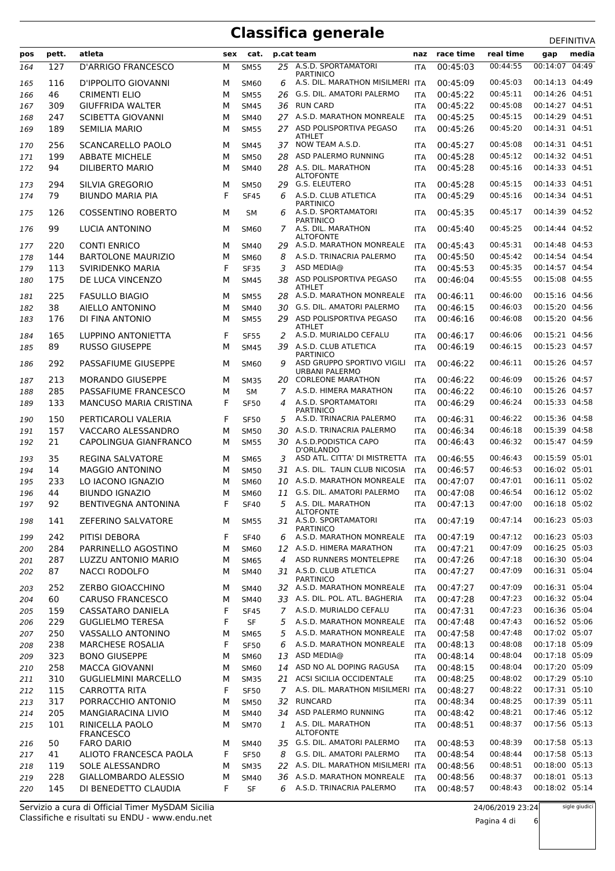| pos | pett. | atleta                              | sex | cat.        |               | p.cat team                               | naz        | race time | real time |                | media |
|-----|-------|-------------------------------------|-----|-------------|---------------|------------------------------------------|------------|-----------|-----------|----------------|-------|
|     |       |                                     |     |             |               |                                          |            |           |           | gap            |       |
| 164 | 127   | <b>D'ARRIGO FRANCESCO</b>           | М   | <b>SM55</b> | 25            | A.S.D. SPORTAMATORI<br><b>PARTINICO</b>  | <b>ITA</b> | 00:45:03  | 00:44:55  | 00:14:07       | 04:49 |
| 165 | 116   | D'IPPOLITO GIOVANNI                 | м   | <b>SM60</b> | 6             | A.S. DIL. MARATHON MISILMERI ITA         |            | 00:45:09  | 00:45:03  | 00:14:13 04:49 |       |
| 166 | 46    | <b>CRIMENTI ELIO</b>                | М   | <b>SM55</b> | 26            | G.S. DIL. AMATORI PALERMO                | <b>ITA</b> | 00:45:22  | 00:45:11  | 00:14:26 04:51 |       |
| 167 | 309   | <b>GIUFFRIDA WALTER</b>             | М   | <b>SM45</b> | 36            | <b>RUN CARD</b>                          | <b>ITA</b> | 00:45:22  | 00:45:08  | 00:14:27 04:51 |       |
| 168 | 247   | <b>SCIBETTA GIOVANNI</b>            | М   | <b>SM40</b> |               | 27 A.S.D. MARATHON MONREALE              | ITA        | 00:45:25  | 00:45:15  | 00:14:29 04:51 |       |
| 169 | 189   | <b>SEMILIA MARIO</b>                | м   | <b>SM55</b> |               | 27 ASD POLISPORTIVA PEGASO               | <b>ITA</b> | 00:45:26  | 00:45:20  | 00:14:31 04:51 |       |
|     |       |                                     |     |             |               | <b>ATHLET</b>                            |            |           |           |                |       |
| 170 | 256   | <b>SCANCARELLO PAOLO</b>            | м   | <b>SM45</b> | 37            | NOW TEAM A.S.D.                          | <b>ITA</b> | 00:45:27  | 00:45:08  | 00:14:31 04:51 |       |
| 171 | 199   | <b>ABBATE MICHELE</b>               | м   | <b>SM50</b> | 28            | ASD PALERMO RUNNING                      | <b>ITA</b> | 00:45:28  | 00:45:12  | 00:14:32 04:51 |       |
| 172 | 94    | <b>DILIBERTO MARIO</b>              | М   | <b>SM40</b> | 28            | A.S. DIL. MARATHON<br><b>ALTOFONTE</b>   | <b>ITA</b> | 00:45:28  | 00:45:16  | 00:14:33 04:51 |       |
| 173 | 294   | SILVIA GREGORIO                     | М   | <b>SM50</b> | 29            | G.S. ELEUTERO                            | ITA        | 00:45:28  | 00:45:15  | 00:14:33 04:51 |       |
| 174 | 79    | <b>BIUNDO MARIA PIA</b>             | F   | <b>SF45</b> | 6             | A.S.D. CLUB ATLETICA                     | <b>ITA</b> | 00:45:29  | 00:45:16  | 00:14:34 04:51 |       |
|     |       |                                     |     |             |               | <b>PARTINICO</b>                         |            |           |           |                |       |
| 175 | 126   | <b>COSSENTINO ROBERTO</b>           | М   | SM          | 6             | A.S.D. SPORTAMATORI<br><b>PARTINICO</b>  | <b>ITA</b> | 00:45:35  | 00:45:17  | 00:14:39 04:52 |       |
| 176 | 99    | LUCIA ANTONINO                      | м   | <b>SM60</b> | 7             | A.S. DIL. MARATHON                       | <b>ITA</b> | 00:45:40  | 00:45:25  | 00:14:44 04:52 |       |
|     |       |                                     |     |             |               | <b>ALTOFONTE</b>                         |            |           |           |                |       |
| 177 | 220   | <b>CONTI ENRICO</b>                 | м   | <b>SM40</b> | 29            | A.S.D. MARATHON MONREALE                 | <b>ITA</b> | 00:45:43  | 00:45:31  | 00:14:48 04:53 |       |
| 178 | 144   | <b>BARTOLONE MAURIZIO</b>           | М   | <b>SM60</b> | 8             | A.S.D. TRINACRIA PALERMO                 | ITA        | 00:45:50  | 00:45:42  | 00:14:54 04:54 |       |
| 179 | 113   | <b>SVIRIDENKO MARIA</b>             | F   | <b>SF35</b> | 3             | ASD MEDIA@                               | ITA        | 00:45:53  | 00:45:35  | 00:14:57 04:54 |       |
| 180 | 175   | DE LUCA VINCENZO                    | М   | <b>SM45</b> | 38            | ASD POLISPORTIVA PEGASO<br><b>ATHLET</b> | ITA        | 00:46:04  | 00:45:55  | 00:15:08 04:55 |       |
| 181 | 225   | <b>FASULLO BIAGIO</b>               | М   | <b>SM55</b> | 28            | A.S.D. MARATHON MONREALE                 | ITA        | 00:46:11  | 00:46:00  | 00:15:16 04:56 |       |
| 182 | 38    | AIELLO ANTONINO                     | М   | <b>SM40</b> | 30            | G.S. DIL. AMATORI PALERMO                | <b>ITA</b> | 00:46:15  | 00:46:03  | 00:15:20 04:56 |       |
| 183 | 176   | DI FINA ANTONIO                     | М   | <b>SM55</b> | 29            | ASD POLISPORTIVA PEGASO                  | ITA        | 00:46:16  | 00:46:08  | 00:15:20 04:56 |       |
|     |       |                                     |     |             |               | <b>ATHLET</b>                            |            |           |           |                |       |
| 184 | 165   | LUPPINO ANTONIETTA                  | F   | <b>SF55</b> | 2             | A.S.D. MURIALDO CEFALU                   | <b>ITA</b> | 00:46:17  | 00:46:06  | 00:15:21 04:56 |       |
| 185 | 89    | <b>RUSSO GIUSEPPE</b>               | М   | <b>SM45</b> | 39            | A.S.D. CLUB ATLETICA<br><b>PARTINICO</b> | <b>ITA</b> | 00:46:19  | 00:46:15  | 00:15:23 04:57 |       |
| 186 | 292   | PASSAFIUME GIUSEPPE                 | м   | <b>SM60</b> | 9             | ASD GRUPPO SPORTIVO VIGILI               | <b>ITA</b> | 00:46:22  | 00:46:11  | 00:15:26 04:57 |       |
|     |       |                                     |     |             |               | URBANI PALERMO                           |            |           |           |                |       |
| 187 | 213   | <b>MORANDO GIUSEPPE</b>             | М   | <b>SM35</b> |               | 20 CORLEONE MARATHON                     | ITA        | 00:46:22  | 00:46:09  | 00:15:26 04:57 |       |
| 188 | 285   | PASSAFIUME FRANCESCO                | М   | <b>SM</b>   | 7             | A.S.D. HIMERA MARATHON                   | <b>ITA</b> | 00:46:22  | 00:46:10  | 00:15:26 04:57 |       |
| 189 | 133   | <b>MANCUSO MARIA CRISTINA</b>       | F   | <b>SF50</b> | 4             | A.S.D. SPORTAMATORI<br><b>PARTINICO</b>  | <b>ITA</b> | 00:46:29  | 00:46:24  | 00:15:33 04:58 |       |
| 190 | 150   | PERTICAROLI VALERIA                 | F   | <b>SF50</b> | 5             | A.S.D. TRINACRIA PALERMO                 | <b>ITA</b> | 00:46:31  | 00:46:22  | 00:15:36 04:58 |       |
| 191 | 157   | VACCARO ALESSANDRO                  | М   | <b>SM50</b> | 30            | A.S.D. TRINACRIA PALERMO                 | ITA        | 00:46:34  | 00:46:18  | 00:15:39 04:58 |       |
| 192 | 21    | CAPOLINGUA GIANFRANCO               | М   | <b>SM55</b> |               | 30 A.S.D. PODISTICA CAPO                 | ITA        | 00:46:43  | 00:46:32  | 00:15:47 04:59 |       |
|     |       |                                     |     |             |               | D'ORLANDO                                |            |           |           |                |       |
| 193 | 35    | <b>REGINA SALVATORE</b>             | М   | <b>SM65</b> | 3             | ASD ATL. CITTA' DI MISTRETTA             | ITA        | 00:46:55  | 00:46:43  | 00:15:59 05:01 |       |
| 194 | 14    | <b>MAGGIO ANTONINO</b>              | М   | <b>SM50</b> | 31            | A.S. DIL. TALIN CLUB NICOSIA             | ITA        | 00:46:57  | 00:46:53  | 00:16:02 05:01 |       |
| 195 | 233   | LO IACONO IGNAZIO                   | М   | SM60        | 10            | A.S.D. MARATHON MONREALE                 | <b>ITA</b> | 00:47:07  | 00:47:01  | 00:16:11 05:02 |       |
| 196 | 44    | <b>BIUNDO IGNAZIO</b>               | М   | <b>SM60</b> | 11            | G.S. DIL. AMATORI PALERMO                | <b>ITA</b> | 00:47:08  | 00:46:54  | 00:16:12 05:02 |       |
| 197 | 92    | <b>BENTIVEGNA ANTONINA</b>          | F   | <b>SF40</b> |               | 5 A.S. DIL. MARATHON<br><b>ALTOFONTE</b> | ITA        | 00:47:13  | 00:47:00  | 00:16:18 05:02 |       |
| 198 | 141   | ZEFERINO SALVATORE                  | м   | <b>SM55</b> |               | 31 A.S.D. SPORTAMATORI                   | ITA        | 00:47:19  | 00:47:14  | 00:16:23 05:03 |       |
|     |       |                                     |     |             |               | <b>PARTINICO</b>                         |            |           |           |                |       |
| 199 | 242   | PITISI DEBORA                       | F   | <b>SF40</b> | 6             | A.S.D. MARATHON MONREALE                 | <b>ITA</b> | 00:47:19  | 00:47:12  | 00:16:23 05:03 |       |
| 200 | 284   | PARRINELLO AGOSTINO                 | М   | <b>SM60</b> |               | 12 A.S.D. HIMERA MARATHON                | <b>ITA</b> | 00:47:21  | 00:47:09  | 00:16:25 05:03 |       |
| 201 | 287   | LUZZU ANTONIO MARIO                 | М   | <b>SM65</b> | 4             | ASD RUNNERS MONTELEPRE                   | ITA        | 00:47:26  | 00:47:18  | 00:16:30 05:04 |       |
| 202 | 87    | <b>NACCI RODOLFO</b>                | м   | <b>SM40</b> |               | 31 A.S.D. CLUB ATLETICA<br>PARTINICO     | ITA        | 00:47:27  | 00:47:09  | 00:16:31 05:04 |       |
| 203 | 252   | ZERBO GIOACCHINO                    | м   | <b>SM40</b> |               | 32 A.S.D. MARATHON MONREALE              | ITA        | 00:47:27  | 00:47:09  | 00:16:31 05:04 |       |
| 204 | 60    | <b>CARUSO FRANCESCO</b>             | М   | <b>SM40</b> |               | 33 A.S. DIL. POL. ATL. BAGHERIA          | <b>ITA</b> | 00:47:28  | 00:47:23  | 00:16:32 05:04 |       |
| 205 | 159   | <b>CASSATARO DANIELA</b>            | F   | <b>SF45</b> | $\mathcal{I}$ | A.S.D. MURIALDO CEFALU                   | <b>ITA</b> | 00:47:31  | 00:47:23  | 00:16:36 05:04 |       |
| 206 | 229   | <b>GUGLIELMO TERESA</b>             | F   | SF          | 5             | A.S.D. MARATHON MONREALE                 | <b>ITA</b> | 00:47:48  | 00:47:43  | 00:16:52 05:06 |       |
| 207 | 250   | VASSALLO ANTONINO                   | М   | <b>SM65</b> | 5             | A.S.D. MARATHON MONREALE                 | <b>ITA</b> | 00:47:58  | 00:47:48  | 00:17:02 05:07 |       |
| 208 | 238   | <b>MARCHESE ROSALIA</b>             | F   | <b>SF50</b> | 6             | A.S.D. MARATHON MONREALE                 | ITA        | 00:48:13  | 00:48:08  | 00:17:18 05:09 |       |
| 209 | 323   | <b>BONO GIUSEPPE</b>                | М   | SM60        | 13            | ASD MEDIA@                               | <b>ITA</b> | 00:48:14  | 00:48:04  | 00:17:18 05:09 |       |
| 210 | 258   | <b>MACCA GIOVANNI</b>               | М   | SM60        | 14            | ASD NO AL DOPING RAGUSA                  | ITA        | 00:48:15  | 00:48:04  | 00:17:20 05:09 |       |
| 211 | 310   | <b>GUGLIELMINI MARCELLO</b>         | М   | <b>SM35</b> | 21            | ACSI SICILIA OCCIDENTALE                 | <b>ITA</b> | 00:48:25  | 00:48:02  | 00:17:29 05:10 |       |
|     | 115   | CARROTTA RITA                       | F   |             | 7             | A.S. DIL. MARATHON MISILMERI ITA         |            | 00:48:27  | 00:48:22  | 00:17:31 05:10 |       |
| 212 |       | PORRACCHIO ANTONIO                  |     | <b>SF50</b> |               | <b>RUNCARD</b>                           |            |           | 00:48:25  | 00:17:39 05:11 |       |
| 213 | 317   |                                     | М   | <b>SM50</b> | 32            |                                          | <b>ITA</b> | 00:48:34  |           | 00:17:46 05:12 |       |
| 214 | 205   | MANGIARACINA LIVIO                  | М   | SM40        | 34            | ASD PALERMO RUNNING                      | <b>ITA</b> | 00:48:42  | 00:48:21  | 00:17:56 05:13 |       |
| 215 | 101   | RINICELLA PAOLO<br><b>FRANCESCO</b> | м   | <b>SM70</b> | $\mathbf{1}$  | A.S. DIL. MARATHON<br><b>ALTOFONTE</b>   | ITA        | 00:48:51  | 00:48:37  |                |       |
| 216 | 50    | <b>FARO DARIO</b>                   | М   | <b>SM40</b> |               | 35 G.S. DIL. AMATORI PALERMO             | <b>ITA</b> | 00:48:53  | 00:48:39  | 00:17:58 05:13 |       |
| 217 | 41    | ALIOTO FRANCESCA PAOLA              | F   | <b>SF50</b> | 8             | G.S. DIL. AMATORI PALERMO                | <b>ITA</b> | 00:48:54  | 00:48:44  | 00:17:58 05:13 |       |
| 218 | 119   | SOLE ALESSANDRO                     | М   | <b>SM35</b> |               | 22 A.S. DIL. MARATHON MISILMERI ITA      |            | 00:48:56  | 00:48:51  | 00:18:00 05:13 |       |
| 219 | 228   | GIALLOMBARDO ALESSIO                | М   | SM40        | 36            | A.S.D. MARATHON MONREALE                 | <b>ITA</b> | 00:48:56  | 00:48:37  | 00:18:01 05:13 |       |
| 220 | 145   | DI BENEDETTO CLAUDIA                | F   | SF          | 6             | A.S.D. TRINACRIA PALERMO                 | ITA        | 00:48:57  | 00:48:43  | 00:18:02 05:14 |       |
|     |       |                                     |     |             |               |                                          |            |           |           |                |       |

Classifiche e risultati su ENDU - www.endu.net Servizio a cura di Official Timer MySDAM Sicilia

Pagina 4 di 6

sigle giudici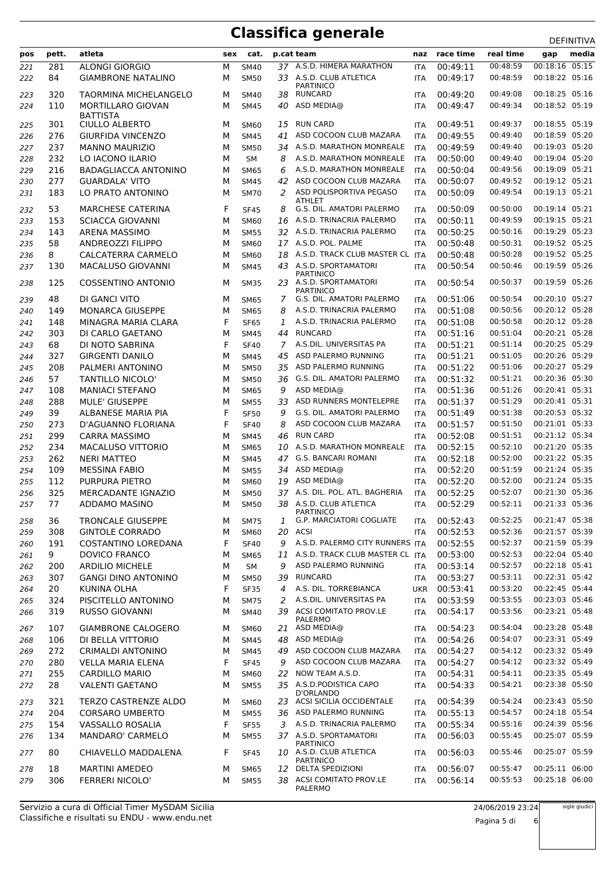|     |       |                              |   |             |    |                                            |            |              |           | <b>DLIIIVIIIVA</b> |
|-----|-------|------------------------------|---|-------------|----|--------------------------------------------|------------|--------------|-----------|--------------------|
| pos | pett. | atleta                       |   | sex cat.    |    | p.cat team                                 | naz        | race time    | real time | media<br>gap       |
| 221 | 281   | <b>ALONGI GIORGIO</b>        | М | <b>SM40</b> |    | 37 A.S.D. HIMERA MARATHON                  | <b>ITA</b> | 00:49:11     | 00:48:59  | 00:18:16 05:15     |
| 222 | 84    | <b>GIAMBRONE NATALINO</b>    | M | <b>SM50</b> |    | 33 A.S.D. CLUB ATLETICA                    | <b>ITA</b> | 00:49:17     | 00:48:59  | 00:18:22 05:16     |
|     |       |                              |   |             |    | <b>PARTINICO</b>                           |            |              |           |                    |
| 223 | 320   | <b>TAORMINA MICHELANGELO</b> | м | <b>SM40</b> | 38 | RUNCARD                                    | <b>ITA</b> | 00:49:20     | 00:49:08  | 00:18:25 05:16     |
| 224 | 110   | MORTILLARO GIOVAN            | М | <b>SM45</b> | 40 | ASD MEDIA@                                 | <b>ITA</b> | 00:49:47     | 00:49:34  | 00:18:52 05:19     |
|     |       | <b>BATTISTA</b>              |   |             |    |                                            |            |              |           |                    |
| 225 | 301   | CIULLO ALBERTO               | M | <b>SM60</b> |    | 15 RUN CARD                                | ITA        | 00:49:51     | 00:49:37  | 00:18:55 05:19     |
| 226 | 276   | <b>GIURFIDA VINCENZO</b>     | M | <b>SM45</b> | 41 | ASD COCOON CLUB MAZARA                     | <b>ITA</b> | 00:49:55     | 00:49:40  | 00:18:59 05:20     |
| 227 | 237   | <b>MANNO MAURIZIO</b>        | М | <b>SM50</b> | 34 | A.S.D. MARATHON MONREALE                   | <b>ITA</b> | 00:49:59     | 00:49:40  | 00:19:03 05:20     |
| 228 | 232   | LO IACONO ILARIO             | М | <b>SM</b>   | 8  | A.S.D. MARATHON MONREALE                   | ITA        | 00:50:00     | 00:49:40  | 00:19:04 05:20     |
| 229 | 216   | <b>BADAGLIACCA ANTONINO</b>  | М | <b>SM65</b> | 6  | A.S.D. MARATHON MONREALE                   | <b>ITA</b> | 00:50:04     | 00:49:56  | 00:19:09 05:21     |
| 230 | 277   | <b>GUARDALA' VITO</b>        | М | <b>SM45</b> | 42 | ASD COCOON CLUB MAZARA                     | <b>ITA</b> | 00:50:07     | 00:49:52  | 00:19:12 05:21     |
| 231 | 183   | LO PRATO ANTONINO            | М | <b>SM70</b> | 2  | ASD POLISPORTIVA PEGASO                    | <b>ITA</b> | 00:50:09     | 00:49:54  | 00:19:13 05:21     |
|     |       |                              |   |             |    | ATHLET                                     |            |              |           |                    |
| 232 | 53    | <b>MARCHESE CATERINA</b>     | F | <b>SF45</b> | 8  | G.S. DIL. AMATORI PALERMO                  | <b>ITA</b> | 00:50:09     | 00:50:00  | 00:19:14 05:21     |
| 233 | 153   | <b>SCIACCA GIOVANNI</b>      | М | SM60        | 16 | A.S.D. TRINACRIA PALERMO                   | <b>ITA</b> | 00:50:11     | 00:49:59  | 00:19:15 05:21     |
| 234 | 143   | <b>ARENA MASSIMO</b>         | M | <b>SM55</b> |    | 32 A.S.D. TRINACRIA PALERMO                | <b>ITA</b> | 00:50:25     | 00:50:16  | 00:19:29 05:23     |
| 235 | 58    | ANDREOZZI FILIPPO            | М | <b>SM60</b> |    | 17 A.S.D. POL. PALME                       | <b>ITA</b> | 00:50:48     | 00:50:31  | 00:19:52 05:25     |
| 236 | 8     | CALCATERRA CARMELO           | м | <b>SM60</b> | 18 | A.S.D. TRACK CLUB MASTER CL ITA            |            | 00:50:48     | 00:50:28  | 00:19:52 05:25     |
| 237 | 130   | <b>MACALUSO GIOVANNI</b>     | M | <b>SM45</b> |    | 43 A.S.D. SPORTAMATORI                     | <b>ITA</b> | 00:50:54     | 00:50:46  | 00:19:59 05:26     |
|     |       |                              |   |             |    | <b>PARTINICO</b><br>23 A.S.D. SPORTAMATORI |            |              | 00:50:37  |                    |
| 238 | 125   | <b>COSSENTINO ANTONIO</b>    | м | <b>SM35</b> |    | <b>PARTINICO</b>                           | <b>ITA</b> | 00:50:54     |           | 00:19:59 05:26     |
| 239 | 48    | DI GANCI VITO                | м | <b>SM65</b> | 7  | G.S. DIL. AMATORI PALERMO                  | <b>ITA</b> | 00:51:06     | 00:50:54  | 00:20:10 05:27     |
| 240 | 149   | <b>MONARCA GIUSEPPE</b>      | М | <b>SM65</b> | 8  | A.S.D. TRINACRIA PALERMO                   | <b>ITA</b> | 00:51:08     | 00:50:56  | 00:20:12 05:28     |
| 241 | 148   | MINAGRA MARIA CLARA          | F | <b>SF65</b> | 1  | A.S.D. TRINACRIA PALERMO                   | <b>ITA</b> | 00:51:08     | 00:50:58  | 00:20:12 05:28     |
| 242 | 303   | DI CARLO GAETANO             | М | <b>SM45</b> |    | 44 RUNCARD                                 | <b>ITA</b> | 00:51:16     | 00:51:04  | 00:20:21 05:28     |
| 243 | 68    | DI NOTO SABRINA              | F | <b>SF40</b> | 7  | A.S.DIL. UNIVERSITAS PA                    | <b>ITA</b> | 00:51:21     | 00:51:14  | 00:20:25 05:29     |
|     |       |                              |   |             |    | ASD PALERMO RUNNING                        |            |              | 00:51:05  | 00:20:26 05:29     |
| 244 | 327   | <b>GIRGENTI DANILO</b>       | М | <b>SM45</b> | 45 |                                            | <b>ITA</b> | 00:51:21     |           |                    |
| 245 | 208   | PALMERI ANTONINO             | M | <b>SM50</b> | 35 | ASD PALERMO RUNNING                        | <b>ITA</b> | 00:51:22     | 00:51:06  | 00:20:27 05:29     |
| 246 | 57    | <b>TANTILLO NICOLO'</b>      | М | <b>SM50</b> | 36 | G.S. DIL. AMATORI PALERMO                  | <b>ITA</b> | 00:51:32     | 00:51:21  | 00:20:36 05:30     |
| 247 | 108   | <b>MANIACI STEFANO</b>       | M | <b>SM65</b> | 9  | ASD MEDIA@                                 | <b>ITA</b> | 00:51:36     | 00:51:26  | 00:20:41 05:31     |
| 248 | 288   | <b>MULE' GIUSEPPE</b>        | M | <b>SM55</b> | 33 | ASD RUNNERS MONTELEPRE                     | <b>ITA</b> | 00:51:37     | 00:51:29  | 00:20:41 05:31     |
| 249 | 39    | ALBANESE MARIA PIA           | F | <b>SF50</b> | 9  | G.S. DIL. AMATORI PALERMO                  | <b>ITA</b> | 00:51:49     | 00:51:38  | 00:20:53 05:32     |
| 250 | 273   | D'AGUANNO FLORIANA           | F | <b>SF40</b> | 8  | ASD COCOON CLUB MAZARA                     | <b>ITA</b> | 00:51:57     | 00:51:50  | 00:21:01 05:33     |
| 251 | 299   | <b>CARRA MASSIMO</b>         | М | <b>SM45</b> | 46 | <b>RUN CARD</b>                            | ITA        | 00:52:08     | 00:51:51  | 00:21:12 05:34     |
| 252 | 234   | <b>MACALUSO VITTORIO</b>     | М | <b>SM65</b> | 10 | A.S.D. MARATHON MONREALE                   | <b>ITA</b> | 00:52:15     | 00:52:10  | 00:21:20 05:35     |
| 253 | 262   | <b>NERI MATTEO</b>           | M | <b>SM45</b> |    | 47 G.S. BANCARI ROMANI                     | <b>ITA</b> | 00:52:18     | 00:52:00  | 00:21:22 05:35     |
| 254 | 109   | <b>MESSINA FABIO</b>         | M | <b>SM55</b> | 34 | ASD MEDIA@                                 | <b>ITA</b> | 00:52:20     | 00:51:59  | 00:21:24 05:35     |
| 255 | 112   | PURPURA PIETRO               | М | SM60        | 19 | ASD MEDIA@                                 | <b>ITA</b> | 00:52:20     | 00:52:00  | 00:21:24 05:35     |
| 256 | 325   | MERCADANTE IGNAZIO           | М | <b>SM50</b> |    | 37 A.S. DIL. POL. ATL. BAGHERIA            | <b>ITA</b> | 00:52:25     | 00:52:07  | 00:21:30 05:36     |
| 257 | 77    | ADDAMO MASINO                | М | <b>SM50</b> |    | 38 A.S.D. CLUB ATLETICA                    |            | ITA 00:52:29 | 00:52:11  | 00:21:33 05:36     |
|     |       |                              |   |             |    | <b>PARTINICO</b>                           |            |              |           |                    |
| 258 | 36    | <b>TRONCALE GIUSEPPE</b>     | м | <b>SM75</b> | 1  | <b>G.P. MARCIATORI COGLIATE</b>            | ITA        | 00:52:43     | 00:52:25  | 00:21:47 05:38     |
| 259 | 308   | <b>GINTOLE CORRADO</b>       | М | SM60        | 20 | <b>ACSI</b>                                | <b>ITA</b> | 00:52:53     | 00:52:36  | 00:21:57 05:39     |
| 260 | 191   | COSTANTINO LOREDANA          | F | <b>SF40</b> | 9  | A.S.D. PALERMO CITY RUNNERS ITA            |            | 00:52:55     | 00:52:37  | 00:21:59 05:39     |
| 261 | 9     | <b>DOVICO FRANCO</b>         | М | <b>SM65</b> | 11 | A.S.D. TRACK CLUB MASTER CL ITA            |            | 00:53:00     | 00:52:53  | 00:22:04 05:40     |
| 262 | 200   | <b>ARDILIO MICHELE</b>       | М | SM          | 9  | ASD PALERMO RUNNING                        | <b>ITA</b> | 00:53:14     | 00:52:57  | 00:22:18 05:41     |
| 263 | 307   | <b>GANGI DINO ANTONINO</b>   | М | <b>SM50</b> | 39 | <b>RUNCARD</b>                             | <b>ITA</b> | 00:53:27     | 00:53:11  | 00:22:31 05:42     |
| 264 | 20    | KUNINA OLHA                  | F | <b>SF35</b> | 4  | A.S. DIL. TORREBIANCA                      | <b>UKR</b> | 00:53:41     | 00:53:20  | 00:22:45 05:44     |
|     |       |                              |   |             |    | A.S.DIL. UNIVERSITAS PA                    |            | 00:53:59     | 00:53:55  | 00:23:03 05:46     |
| 265 | 324   | PISCITELLO ANTONINO          | М | <b>SM75</b> | 2  |                                            | <b>ITA</b> |              |           |                    |
| 266 | 319   | <b>RUSSO GIOVANNI</b>        | М | <b>SM40</b> | 39 | ACSI COMITATO PROV.LE<br><b>PALERMO</b>    | <b>ITA</b> | 00:54:17     | 00:53:56  | 00:23:21 05:48     |
| 267 | 107   | <b>GIAMBRONE CALOGERO</b>    | М | <b>SM60</b> | 21 | ASD MEDIA@                                 | ITA        | 00:54:23     | 00:54:04  | 00:23:28 05:48     |
| 268 | 106   | DI BELLA VITTORIO            | М | <b>SM45</b> | 48 | ASD MEDIA@                                 | <b>ITA</b> | 00:54:26     | 00:54:07  | 00:23:31 05:49     |
| 269 | 272   | CRIMALDI ANTONINO            | М | <b>SM45</b> | 49 | ASD COCOON CLUB MAZARA                     | <b>ITA</b> | 00:54:27     | 00:54:12  | 00:23:32 05:49     |
| 270 | 280   | <b>VELLA MARIA ELENA</b>     | F | <b>SF45</b> | 9  | ASD COCOON CLUB MAZARA                     | <b>ITA</b> | 00:54:27     | 00:54:12  | 00:23:32 05:49     |
| 271 | 255   | <b>CARDILLO MARIO</b>        | М | SM60        | 22 | NOW TEAM A.S.D.                            | <b>ITA</b> | 00:54:31     | 00:54:11  | 00:23:35 05:49     |
|     |       |                              |   |             |    |                                            |            |              |           |                    |
| 272 | 28    | <b>VALENTI GAETANO</b>       | М | <b>SM55</b> |    | 35 A.S.D. PODISTICA CAPO<br>D'ORLANDO      | ITA        | 00:54:33     | 00:54:21  | 00:23:38 05:50     |
| 273 | 321   | TERZO CASTRENZE ALDO         | М | <b>SM60</b> |    | 23 ACSI SICILIA OCCIDENTALE                | ITA        | 00:54:39     | 00:54:24  | 00:23:43 05:50     |
| 274 | 204   | CORSARO UMBERTO              | М | <b>SM55</b> | 36 | ASD PALERMO RUNNING                        | <b>ITA</b> | 00:55:13     | 00:54:57  | 00:24:18 05:54     |
| 275 | 154   | VASSALLO ROSALIA             | F | <b>SF55</b> | 3  | A.S.D. TRINACRIA PALERMO                   | <b>ITA</b> | 00:55:34     | 00:55:16  | 00:24:39 05:56     |
| 276 | 134   | MANDARO' CARMELO             | М | <b>SM55</b> |    | 37 A.S.D. SPORTAMATORI                     | <b>ITA</b> | 00:56:03     | 00:55:45  | 00:25:07 05:59     |
|     |       |                              |   |             |    | <b>PARTINICO</b>                           |            |              |           |                    |
| 277 | 80    | CHIAVELLO MADDALENA          | F | <b>SF45</b> |    | 10 A.S.D. CLUB ATLETICA                    | <b>ITA</b> | 00:56:03     | 00:55:46  | 00:25:07 05:59     |
| 278 | 18    | <b>MARTINI AMEDEO</b>        | М | <b>SM65</b> | 12 | <b>PARTINICO</b><br>DELTA SPEDIZIONI       | <b>ITA</b> | 00:56:07     | 00:55:47  | 00:25:11 06:00     |
|     | 306   | FERRERI NICOLO'              | М |             |    | 38 ACSI COMITATO PROV.LE                   |            | 00:56:14     | 00:55:53  | 00:25:18 06:00     |
| 279 |       |                              |   | <b>SM55</b> |    | PALERMO                                    | <b>ITA</b> |              |           |                    |

Pagina 5 di 6

sigle giudici